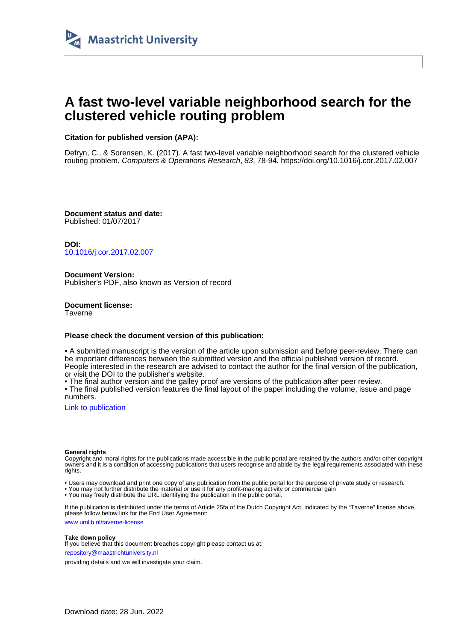

# **A fast two-level variable neighborhood search for the clustered vehicle routing problem**

# **Citation for published version (APA):**

Defryn, C., & Sorensen, K. (2017). A fast two-level variable neighborhood search for the clustered vehicle routing problem. Computers & Operations Research, 83, 78-94.<https://doi.org/10.1016/j.cor.2017.02.007>

**Document status and date:** Published: 01/07/2017

**DOI:** [10.1016/j.cor.2017.02.007](https://doi.org/10.1016/j.cor.2017.02.007)

**Document Version:** Publisher's PDF, also known as Version of record

**Document license: Taverne** 

# **Please check the document version of this publication:**

• A submitted manuscript is the version of the article upon submission and before peer-review. There can be important differences between the submitted version and the official published version of record. People interested in the research are advised to contact the author for the final version of the publication, or visit the DOI to the publisher's website.

• The final author version and the galley proof are versions of the publication after peer review.

• The final published version features the final layout of the paper including the volume, issue and page numbers.

[Link to publication](https://cris.maastrichtuniversity.nl/en/publications/a1237d44-3207-4cd0-bc36-bb87c137638b)

# **General rights**

Copyright and moral rights for the publications made accessible in the public portal are retained by the authors and/or other copyright owners and it is a condition of accessing publications that users recognise and abide by the legal requirements associated with these rights.

• Users may download and print one copy of any publication from the public portal for the purpose of private study or research.

• You may not further distribute the material or use it for any profit-making activity or commercial gain

• You may freely distribute the URL identifying the publication in the public portal.

If the publication is distributed under the terms of Article 25fa of the Dutch Copyright Act, indicated by the "Taverne" license above, please follow below link for the End User Agreement:

www.umlib.nl/taverne-license

# **Take down policy**

If you believe that this document breaches copyright please contact us at: repository@maastrichtuniversity.nl

providing details and we will investigate your claim.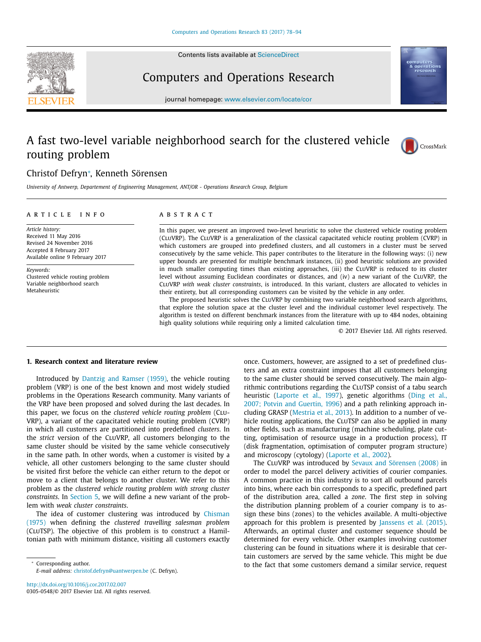Contents lists available at [ScienceDirect](http://www.ScienceDirect.com)





# Computers and Operations Research

journal homepage: [www.elsevier.com/locate/cor](http://www.elsevier.com/locate/cor)

# A fast two-level variable neighborhood search for the clustered vehicle routing problem



# Christof Defryn<sup>∗</sup> , Kenneth Sörensen

*University of Antwerp, Departement of Engineering Management, ANT/OR - Operations Research Group, Belgium*

## a r t i c l e i n f o

*Article history:* Received 11 May 2016 Revised 24 November 2016 Accepted 8 February 2017 Available online 9 February 2017

*Keywords:*

Clustered vehicle routing problem Variable neighborhood search Metaheuristic

# a b s t r a c t

In this paper, we present an improved two-level heuristic to solve the clustered vehicle routing problem (CluVRP). The CluVRP is a generalization of the classical capacitated vehicle routing problem (CVRP) in which customers are grouped into predefined clusters, and all customers in a cluster must be served consecutively by the same vehicle. This paper contributes to the literature in the following ways: (i) new upper bounds are presented for multiple benchmark instances, (ii) good heuristic solutions are provided in much smaller computing times than existing approaches, (iii) the CLUVRP is reduced to its cluster level without assuming Euclidean coordinates or distances, and (iv) a new variant of the CluVRP, the CluVRP *with weak cluster constraints*, is introduced. In this variant, clusters are allocated to vehicles in their entirety, but all corresponding customers can be visited by the vehicle in any order.

The proposed heuristic solves the CluVRP by combining two variable neighborhood search algorithms, that explore the solution space at the cluster level and the individual customer level respectively. The algorithm is tested on different benchmark instances from the literature with up to 484 nodes, obtaining high quality solutions while requiring only a limited calculation time.

© 2017 Elsevier Ltd. All rights reserved.

#### **1. Research context and literature review**

Introduced by [Dantzig](#page-16-0) and Ramser (1959), the vehicle routing problem (VRP) is one of the best known and most widely studied problems in the Operations Research community. Many variants of the VRP have been proposed and solved during the last decades. In this paper, we focus on the *clustered vehicle routing problem* (Clu-VRP), a variant of the capacitated vehicle routing problem (CVRP) in which all customers are partitioned into predefined *clusters*. In the *strict* version of the CluVRP, all customers belonging to the same cluster should be visited by the same vehicle consecutively in the same path. In other words, when a customer is visited by a vehicle, all other customers belonging to the same cluster should be visited first before the vehicle can either return to the depot or move to a client that belongs to another cluster. We refer to this problem as the *clustered vehicle routing problem with strong cluster constraints*. In [Section](#page-8-0) 5, we will define a new variant of the problem with *weak cluster constraints*.

The idea of customer clustering was [introduced](#page-16-0) by Chisman (1975) when defining the *clustered travelling salesman problem* (CluTSP). The objective of this problem is to construct a Hamiltonian path with minimum distance, visiting all customers exactly

<sup>∗</sup> Corresponding author. *E-mail address:* [christof.defryn@uantwerpen.be](mailto:christof.defryn@uantwerpen.be) (C. Defryn).

<http://dx.doi.org/10.1016/j.cor.2017.02.007> 0305-0548/© 2017 Elsevier Ltd. All rights reserved. once. Customers, however, are assigned to a set of predefined clusters and an extra constraint imposes that all customers belonging to the same cluster should be served consecutively. The main algorithmic contributions regarding the CLUTSP consist of a tabu search heuristic [\(Laporte](#page-17-0) et al., 1997), genetic [algorithms](#page-16-0) (Ding et al., 2007; Potvin and Guertin, 1996) and a path relinking approach including GRASP [\(Mestria](#page-17-0) et al., 2013). In addition to a number of vehicle routing applications, the CLUTSP can also be applied in many other fields, such as manufacturing (machine scheduling, plate cutting, optimisation of resource usage in a production process), IT (disk fragmentation, optimisation of computer program structure) and microscopy (cytology) [\(Laporte](#page-17-0) et al., 2002).

The CLUVRP was introduced by Sevaux and [Sörensen](#page-17-0) (2008) in order to model the parcel delivery activities of courier companies. A common practice in this industry is to sort all outbound parcels into bins, where each bin corresponds to a specific, predefined part of the distribution area, called a *zone*. The first step in solving the distribution planning problem of a courier company is to assign these bins (zones) to the vehicles available. A multi-objective approach for this problem is presented by [Janssens](#page-17-0) et al. (2015). Afterwards, an optimal cluster and customer sequence should be determined for every vehicle. Other examples involving customer clustering can be found in situations where it is desirable that certain customers are served by the same vehicle. This might be due to the fact that some customers demand a similar service, request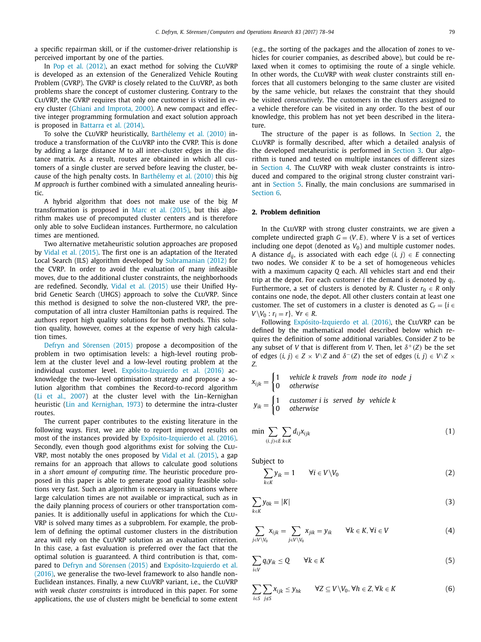<span id="page-2-0"></span>a specific repairman skill, or if the customer-driver relationship is perceived important by one of the parties.

In Pop et al. [\(2012\),](#page-17-0) an exact method for solving the CLUVRP is developed as an extension of the Generalized Vehicle Routing Problem (GVRP). The GVRP is closely related to the CLUVRP, as both problems share the concept of customer clustering. Contrary to the CluVRP, the GVRP requires that only one customer is visited in every cluster (Ghiani and [Improta,](#page-16-0) 2000). A new compact and effective integer programming formulation and exact solution approach is proposed in [Battarra](#page-16-0) et al. (2014).

To solve the CluVRP heuristically, [Barthélemy](#page-16-0) et al. (2010) introduce a transformation of the CluVRP into the CVRP. This is done by adding a large distance *M* to all inter-cluster edges in the distance matrix. As a result, routes are obtained in which all customers of a single cluster are served before leaving the cluster, because of the high penalty costs. In [Barthélemy](#page-16-0) et al. (2010) this *big M approach* is further combined with a simulated annealing heuristic.

A hybrid algorithm that does not make use of the big *M* transformation is proposed in Marc et al. [\(2015\),](#page-17-0) but this algorithm makes use of precomputed cluster centers and is therefore only able to solve Euclidean instances. Furthermore, no calculation times are mentioned.

Two alternative metaheuristic solution approaches are proposed by Vidal et al. [\(2015\).](#page-17-0) The first one is an adaptation of the Iterated Local Search (ILS) algorithm developed by [Subramanian](#page-17-0) (2012) for the CVRP. In order to avoid the evaluation of many infeasible moves, due to the additional cluster constraints, the neighborhoods are redefined. Secondly, Vidal et al. [\(2015\)](#page-17-0) use their Unified Hybrid Genetic Search (UHGS) approach to solve the CluVRP. Since this method is designed to solve the non-clustered VRP, the precomputation of all intra cluster Hamiltonian paths is required. The authors report high quality solutions for both methods. This solution quality, however, comes at the expense of very high calculation times.

Defryn and [Sörensen](#page-16-0) (2015) propose a decomposition of the problem in two optimisation levels: a high-level routing problem at the cluster level and a low-level routing problem at the individual customer level. [Expósito-Izquierdo](#page-16-0) et al. (2016) acknowledge the two-level optimisation strategy and propose a solution algorithm that combines the Record-to-record algorithm (Li et al., [2007\)](#page-17-0) at the cluster level with the Lin–Kernighan heuristic (Lin and [Kernighan,](#page-17-0) 1973) to determine the intra-cluster routes.

The current paper contributes to the existing literature in the following ways. First, we are able to report improved results on most of the instances provided by [Expósito-Izquierdo](#page-16-0) et al. (2016). Secondly, even though good algorithms exist for solving the CLU-VRP, most notably the ones proposed by Vidal et al. [\(2015\),](#page-17-0) a gap remains for an approach that allows to calculate good solutions in a *short amount of computing time*. The heuristic procedure proposed in this paper is able to generate good quality feasible solutions very fast. Such an algorithm is necessary in situations where large calculation times are not available or impractical, such as in the daily planning process of couriers or other transportation companies. It is additionally useful in applications for which the CLU-VRP is solved many times as a subproblem. For example, the problem of defining the optimal customer clusters in the distribution area will rely on the CLUVRP solution as an evaluation criterion. In this case, a fast evaluation is preferred over the fact that the optimal solution is guaranteed. A third contribution is that, compared to Defryn and [Sörensen](#page-16-0) (2015) and [Expósito-Izquierdo](#page-16-0) et al. (2016), we generalise the two-level framework to also handle non-Euclidean instances. Finally, a new CluVRP variant, i.e., the CluVRP *with weak cluster constraints* is introduced in this paper. For some applications, the use of clusters might be beneficial to some extent (e.g., the sorting of the packages and the allocation of zones to vehicles for courier companies, as described above), but could be relaxed when it comes to optimising the route of a single vehicle. In other words, the CluVRP with *weak* cluster constraints still enforces that all customers belonging to the same cluster are visited by the same vehicle, but relaxes the constraint that they should be visited *consecutively*. The customers in the clusters assigned to a vehicle therefore can be visited in any order. To the best of our knowledge, this problem has not yet been described in the literature.

The structure of the paper is as follows. In Section 2, the CluVRP is formally described, after which a detailed analysis of the developed metaheuristic is performed in [Section](#page-3-0) 3. Our algorithm is tuned and tested on multiple instances of different sizes in [Section](#page-5-0) 4. The CLUVRP with weak cluster constraints is introduced and compared to the original strong cluster constraint variant in [Section](#page-8-0) 5. Finally, the main conclusions are summarised in [Section](#page-10-0) 6.

#### **2. Problem definition**

In the CluVRP with strong cluster constraints, we are given a complete undirected graph  $G = (V, E)$ , where V is a set of vertices including one depot (denoted as  $V_0$ ) and multiple customer nodes. A distance  $d_{ii}$ , is associated with each edge  $(i, j) \in E$  connecting two nodes. We consider *K* to be a set of homogeneous vehicles with a maximum capacity *Q* each. All vehicles start and end their trip at the depot. For each customer *i* the demand is denoted by *qi*. Furthermore, a set of clusters is denoted by *R*. Cluster  $r_0 \in R$  only contains one node, the depot. All other clusters contain at least one customer. The set of customers in a cluster is denoted as  $C_r = \{i \in$ *V*\*V*<sup>0</sup> : *r<sub>i</sub>* = *r*}, ∀*r* ∈ *R*.

Following [Expósito-Izquierdo](#page-16-0) et al. (2016), the CLUVRP can be defined by the mathematical model described below which requires the definition of some additional variables. Consider *Z* to be any subset of *V* that is different from *V*. Then, let  $\delta^+(Z)$  be the set of edges  $(i, j) \in Z \times V \setminus Z$  and  $\delta^-(Z)$  the set of edges  $(i, j) \in V \setminus Z \times Z$ *Z*.

$$
x_{ijk} = \begin{cases} 1 & \text{ vehicle } k \text{ travels from node ito node } j \\ 0 & \text{ otherwise} \end{cases}
$$

 $y_{ik} = \begin{cases} 1 & \text{if } i \neq j \end{cases}$ 1 *customer i is served by vehicle k* 0 *otherwise*

$$
\min \sum_{(i,j)\in E} \sum_{k\in K} d_{ij} x_{ijk} \tag{1}
$$

Subject to

$$
\sum_{k \in K} y_{ik} = 1 \qquad \forall i \in V \setminus V_0 \tag{2}
$$

$$
\sum_{k \in K} y_{0k} = |K| \tag{3}
$$

$$
\sum_{j \in V \setminus V_0} x_{ijk} = \sum_{j \in V \setminus V_0} x_{jik} = y_{ik} \qquad \forall k \in K, \forall i \in V \tag{4}
$$

$$
\sum_{i \in V} q_i y_{ik} \le Q \qquad \forall k \in K \tag{5}
$$

$$
\sum_{i\in S}\sum_{j\notin S}x_{ijk}\leq y_{hk}\qquad\forall Z\subseteq V\backslash V_0,\forall h\in Z,\forall k\in K\tag{6}
$$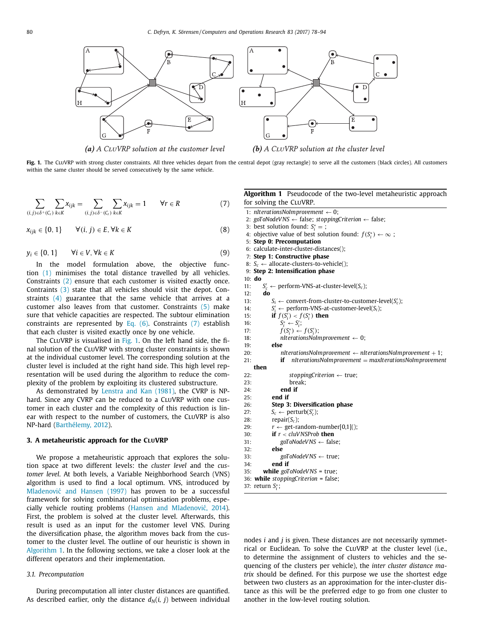<span id="page-3-0"></span>

**Fig.** 1. The CLUVRP with strong cluster constraints. All three vehicles depart from the central depot (gray rectangle) to serve all the customers (black circles). All customers within the same cluster should be served consecutively by the same vehicle.

$$
\sum_{(i,j)\in\delta^+(C_r)}\sum_{k\in K}x_{ijk}=\sum_{(i,j)\in\delta^-(C_r)}\sum_{k\in K}x_{ijk}=1 \qquad \forall r\in R
$$
\n(7)

*x<sub>ijk</sub>* ∈ {0, 1}  $\forall (i, j) \in E, \forall k \in K$  (8)

$$
y_i \in \{0, 1\} \qquad \forall i \in V, \forall k \in K \tag{9}
$$

In the model formulation above, the objective function [\(1\)](#page-2-0) minimises the total distance travelled by all vehicles. Constraints [\(2\)](#page-2-0) ensure that each customer is visited exactly once. Contraints [\(3\)](#page-2-0) state that all vehicles should visit the depot. Constraints [\(4\)](#page-2-0) guarantee that the same vehicle that arrives at a customer also leaves from that customer. Constraints [\(5\)](#page-2-0) make sure that vehicle capacities are respected. The subtour elimination constraints are represented by Eq. [\(6\).](#page-2-0) Constraints (7) establish that each cluster is visited exactly once by one vehicle.

The CLUVRP is visualised in Fig. 1. On the left hand side, the final solution of the CluVRP with strong cluster constraints is shown at the individual customer level. The corresponding solution at the cluster level is included at the right hand side. This high level representation will be used during the algorithm to reduce the complexity of the problem by exploiting its clustered substructure.

As demonstrated by [Lenstra](#page-17-0) and Kan (1981), the CVRP is NPhard. Since any CVRP can be reduced to a CLUVRP with one customer in each cluster and the complexity of this reduction is linear with respect to the number of customers, the CluVRP is also NP-hard [\(Barthélemy,](#page-16-0) 2012).

#### **3. A metaheuristic approach for the CLUVRP**

We propose a metaheuristic approach that explores the solution space at two different levels: the *cluster level* and the *customer level*. At both levels, a Variable Neighborhood Search (VNS) algorithm is used to find a local optimum. VNS, introduced by Mladenović and Hansen (1997) has proven to be a successful framework for solving combinatorial optimisation problems, especially vehicle routing problems (Hansen and Mladenović, 2014). First, the problem is solved at the cluster level. Afterwards, this result is used as an input for the customer level VNS. During the diversification phase, the algorithm moves back from the customer to the cluster level. The outline of our heuristic is shown in Algorithm 1. In the following sections, we take a closer look at the different operators and their implementation.

# *3.1. Precomputation*

During precomputation all inter cluster distances are quantified. As described earlier, only the distance  $d_N(i, j)$  between individual **Algorithm 1** Pseudocode of the two-level metaheuristic approach for solving the CLUVRP.

1: *nIterationsNoImprovement*  $\leftarrow$  0; 2: *goToNodeVNS* ← false; *stoppingCriterion* ← false; 3: best solution found:  $S_i^* =$ ; 4: objective value of best solution found:  $f(S_i^*) \leftarrow \infty$ ; 5: **Step 0: Precomputation** 6: calculate-inter-cluster-distances(); 7: **Step 1: Constructive phase** 8:  $S_c \leftarrow$  allocate-clusters-to-vehicle(); 9: **Step 2: Intensification phase** 10: **do**  $11: S'$  $S'_c \leftarrow$  perform-VNS-at-cluster-level( $S_c$ );<br>**do** 12: **do** 13:  $S_i \leftarrow \text{convert-from-cluster-to-customer-level}(S'_c);$ 14: *S*  $\leftarrow$  perform-VNS-at-customer-level( $S_i$ ); 15: **if**  $f(S_i') < f(S_i^*)$  then 16:  $S_i^* \leftarrow S_i'$ ; 17:  $f(S_i^*) \leftarrow f(S_i')$ ; 18:  $\blacksquare$  *nIterationsNoImprovement*  $\leftarrow$  0; 19: **else** 20: *nIterationsNoImprovement* ← *nIterationsNoImprovement* + 1; 21: **if** *nIterationsNoImprovement* = *maxIterationsNoImprovement* **then** 22: *stoppingCriterion* ← true; 23: break; 24: **end if** 25: **end if** 26: **Step 3: Diversification phase** 27:  $S_c \leftarrow \text{perturb}(S'_c);$ 28: repair $(S_c)$ ; 29:  $r \leftarrow \text{get-random-number}[0,1]();$ 30: **if** *r* < *cluVNSProb* **then** 31: *goToNodeVNS* ← false; 32: **else** 33: *goToNodeVNS* ← true; 34: **end if** 35: **while** *goToNodeVNS* = true; 36: **while** *stoppingCriterion* = false; 37: return *S*<sup>∗</sup> *i* ;

nodes *i* and *j* is given. These distances are not necessarily symmetrical or Euclidean. To solve the CluVRP at the cluster level (i.e., to determine the assignment of clusters to vehicles and the sequencing of the clusters per vehicle), the *inter cluster distance matrix* should be defined. For this purpose we use the shortest edge between two clusters as an approximation for the inter-cluster distance as this will be the preferred edge to go from one cluster to another in the low-level routing solution.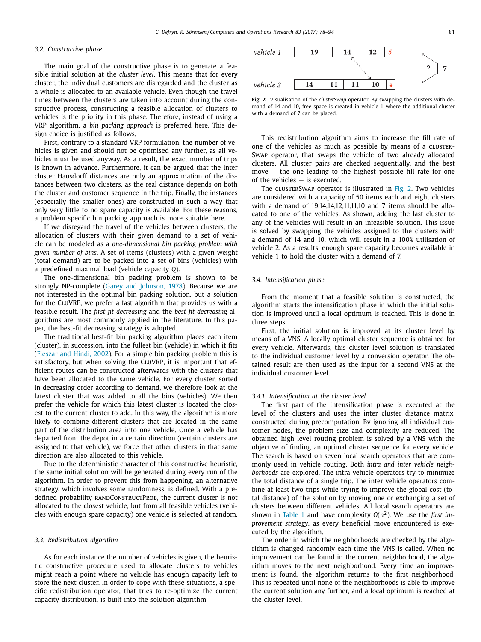# <span id="page-4-0"></span>*3.2. Constructive phase*

The main goal of the constructive phase is to generate a feasible initial solution at the *cluster level*. This means that for every cluster, the individual customers are disregarded and the cluster as a whole is allocated to an available vehicle. Even though the travel times between the clusters are taken into account during the constructive process, constructing a feasible allocation of clusters to vehicles is the priority in this phase. Therefore, instead of using a VRP algorithm, a *bin packing approach* is preferred here. This design choice is justified as follows.

First, contrary to a standard VRP formulation, the number of vehicles is given and should not be optimised any further, as all vehicles must be used anyway. As a result, the exact number of trips is known in advance. Furthermore, it can be argued that the inter cluster Hausdorff distances are only an approximation of the distances between two clusters, as the real distance depends on both the cluster and customer sequence in the trip. Finally, the instances (especially the smaller ones) are constructed in such a way that only very little to no spare capacity is available. For these reasons, a problem specific bin packing approach is more suitable here.

If we disregard the travel of the vehicles between clusters, the allocation of clusters with their given demand to a set of vehicle can be modeled as a *one-dimensional bin packing problem with given number of bins*. A set of items (clusters) with a given weight (total demand) are to be packed into a set of bins (vehicles) with a predefined maximal load (vehicle capacity *Q*).

The one-dimensional bin packing problem is shown to be strongly NP-complete (Garey and [Johnson,](#page-16-0) 1978). Because we are not interested in the optimal bin packing solution, but a solution for the CluVRP, we prefer a fast algorithm that provides us with a feasible result. The *first-fit decreasing* and the *best-fit decreasing* algorithms are most commonly applied in the literature. In this paper, the best-fit decreasing strategy is adopted.

The traditional best-fit bin packing algorithm places each item (cluster), in succession, into the fullest bin (vehicle) in which it fits [\(Fleszar](#page-16-0) and Hindi, 2002). For a simple bin packing problem this is satisfactory, but when solving the CLUVRP, it is important that efficient routes can be constructed afterwards with the clusters that have been allocated to the same vehicle. For every cluster, sorted in decreasing order according to demand, we therefore look at the latest cluster that was added to all the bins (vehicles). We then prefer the vehicle for which this latest cluster is located the closest to the current cluster to add. In this way, the algorithm is more likely to combine different clusters that are located in the same part of the distribution area into one vehicle. Once a vehicle has departed from the depot in a certain direction (certain clusters are assigned to that vehicle), we force that other clusters in that same direction are also allocated to this vehicle.

Due to the deterministic character of this constructive heuristic, the same initial solution will be generated during every run of the algorithm. In order to prevent this from happening, an alternative strategy, which involves some randomness, is defined. With a predefined probability RANDCONSTRUCTPROB, the current cluster is not allocated to the closest vehicle, but from all feasible vehicles (vehicles with enough spare capacity) one vehicle is selected at random.

#### *3.3. Redistribution algorithm*

As for each instance the number of vehicles is given, the heuristic constructive procedure used to allocate clusters to vehicles might reach a point where no vehicle has enough capacity left to store the next cluster. In order to cope with these situations, a specific redistribution operator, that tries to re-optimize the current capacity distribution, is built into the solution algorithm.



**Fig. 2.** Visualisation of the *clusterSwap* operator. By swapping the clusters with demand of 14 and 10, free space is created in vehicle 1 where the additional cluster with a demand of 7 can be placed.

This redistribution algorithm aims to increase the fill rate of one of the vehicles as much as possible by means of a CLUSTER-Swap operator, that swaps the vehicle of two already allocated clusters. All cluster pairs are checked sequentially, and the best move — the one leading to the highest possible fill rate for one of the vehicles — is executed.

The CLUSTERSWAP operator is illustrated in Fig. 2. Two vehicles are considered with a capacity of 50 items each and eight clusters with a demand of 19,14,14,12,11,11,10 and 7 items should be allocated to one of the vehicles. As shown, adding the last cluster to any of the vehicles will result in an infeasible solution. This issue is solved by swapping the vehicles assigned to the clusters with a demand of 14 and 10, which will result in a 100% utilisation of vehicle 2. As a results, enough spare capacity becomes available in vehicle 1 to hold the cluster with a demand of 7.

#### *3.4. Intensification phase*

From the moment that a feasible solution is constructed, the algorithm starts the intensification phase in which the initial solution is improved until a local optimum is reached. This is done in three steps.

First, the initial solution is improved at its cluster level by means of a VNS. A locally optimal cluster sequence is obtained for every vehicle. Afterwards, this cluster level solution is translated to the individual customer level by a conversion operator. The obtained result are then used as the input for a second VNS at the individual customer level.

#### *3.4.1. Intensification at the cluster level*

The first part of the intensification phase is executed at the level of the clusters and uses the inter cluster distance matrix, constructed during precomputation. By ignoring all individual customer nodes, the problem size and complexity are reduced. The obtained high level routing problem is solved by a VNS with the objective of finding an optimal cluster sequence for every vehicle. The search is based on seven local search operators that are commonly used in vehicle routing. Both *intra and inter vehicle neighborhoods* are explored. The intra vehicle operators try to minimize the total distance of a single trip. The inter vehicle operators combine at least two trips while trying to improve the global cost (total distance) of the solution by moving one or exchanging a set of clusters between different vehicles. All local search operators are shown in [Table](#page-5-0) 1 and have complexity  $O(n^2)$ . We use the *first improvement strategy*, as every beneficial move encountered is executed by the algorithm.

The order in which the neighborhoods are checked by the algorithm is changed randomly each time the VNS is called. When no improvement can be found in the current neighborhood, the algorithm moves to the next neighborhood. Every time an improvement is found, the algorithm returns to the first neighborhood. This is repeated until none of the neighborhoods is able to improve the current solution any further, and a local optimum is reached at the cluster level.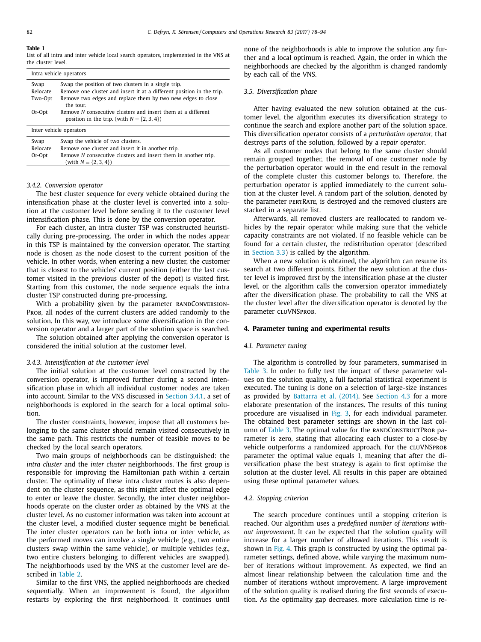<span id="page-5-0"></span>List of all intra and inter vehicle local search operators, implemented in the VNS at the cluster level.

|                               | Intra vehicle operators                                                                                                                                 |  |  |  |  |  |  |
|-------------------------------|---------------------------------------------------------------------------------------------------------------------------------------------------------|--|--|--|--|--|--|
| Swap<br>Relocate              | Swap the position of two clusters in a single trip.<br>Remove one cluster and insert it at a different position in the trip.                            |  |  |  |  |  |  |
| Two-Opt                       | Remove two edges and replace them by two new edges to close<br>the tour.                                                                                |  |  |  |  |  |  |
| Or-Opt                        | Remove N consecutive clusters and insert them at a different<br>position in the trip. (with $N = \{2, 3, 4\}$ )                                         |  |  |  |  |  |  |
|                               | Inter vehicle operators                                                                                                                                 |  |  |  |  |  |  |
| Swap<br>Relocate<br>$Or$ -Ont | Swap the vehicle of two clusters.<br>Remove one cluster and insert it in another trip.<br>Remove N consecutive clusters and insert them in another trin |  |  |  |  |  |  |

#### *3.4.2. Conversion operator*

 $(with N = \{2, 3, 4\})$ 

The best cluster sequence for every vehicle obtained during the intensification phase at the cluster level is converted into a solution at the customer level before sending it to the customer level intensification phase. This is done by the conversion operator.

For each cluster, an intra cluster TSP was constructed heuristically during pre-processing. The order in which the nodes appear in this TSP is maintained by the conversion operator. The starting node is chosen as the node closest to the current position of the vehicle. In other words, when entering a new cluster, the customer that is closest to the vehicles' current position (either the last customer visited in the previous cluster of the depot) is visited first. Starting from this customer, the node sequence equals the intra cluster TSP constructed during pre-processing.

With a probability given by the parameter RANDCONVERSION-PROB, all nodes of the current clusters are added randomly to the solution. In this way, we introduce some diversification in the conversion operator and a larger part of the solution space is searched.

The solution obtained after applying the conversion operator is considered the initial solution at the customer level.

#### *3.4.3. Intensification at the customer level*

The initial solution at the customer level constructed by the conversion operator, is improved further during a second intensification phase in which all individual customer nodes are taken into account. Similar to the VNS discussed in [Section](#page-4-0) 3.4.1, a set of neighborhoods is explored in the search for a local optimal solution.

The cluster constraints, however, impose that all customers belonging to the same cluster should remain visited consecutively in the same path. This restricts the number of feasible moves to be checked by the local search operators.

Two main groups of neighborhoods can be distinguished: the *intra cluster* and the *inter cluster* neighborhoods. The first group is responsible for improving the Hamiltonian path within a certain cluster. The optimality of these intra cluster routes is also dependent on the cluster sequence, as this might affect the optimal edge to enter or leave the cluster. Secondly, the inter cluster neighborhoods operate on the cluster order as obtained by the VNS at the cluster level. As no customer information was taken into account at the cluster level, a modified cluster sequence might be beneficial. The inter cluster operators can be both intra or inter vehicle, as the performed moves can involve a single vehicle (e.g., two entire clusters swap within the same vehicle), or multiple vehicles (e.g., two entire clusters belonging to different vehicles are swapped). The neighborhoods used by the VNS at the customer level are described in [Table](#page-6-0) 2.

Similar to the first VNS, the applied neighborhoods are checked sequentially. When an improvement is found, the algorithm restarts by exploring the first neighborhood. It continues until none of the neighborhoods is able to improve the solution any further and a local optimum is reached. Again, the order in which the neighborhoods are checked by the algorithm is changed randomly by each call of the VNS.

#### *3.5. Diversification phase*

After having evaluated the new solution obtained at the customer level, the algorithm executes its diversification strategy to continue the search and explore another part of the solution space. This diversification operator consists of a *perturbation operator*, that destroys parts of the solution, followed by a *repair operator*.

As all customer nodes that belong to the same cluster should remain grouped together, the removal of one customer node by the perturbation operator would in the end result in the removal of the complete cluster this customer belongs to. Therefore, the perturbation operator is applied immediately to the current solution at the cluster level. A random part of the solution, denoted by the parameter pertRate, is destroyed and the removed clusters are stacked in a separate list.

Afterwards, all removed clusters are reallocated to random vehicles by the repair operator while making sure that the vehicle capacity constraints are not violated. If no feasible vehicle can be found for a certain cluster, the redistribution operator (described in [Section](#page-4-0) 3.3) is called by the algorithm.

When a new solution is obtained, the algorithm can resume its search at two different points. Either the new solution at the cluster level is improved first by the intensification phase at the cluster level, or the algorithm calls the conversion operator immediately after the diversification phase. The probability to call the VNS at the cluster level after the diversification operator is denoted by the parameter cluVNSprob.

#### **4. Parameter tuning and experimental results**

#### *4.1. Parameter tuning*

The algorithm is controlled by four parameters, summarised in [Table](#page-6-0) 3. In order to fully test the impact of these parameter values on the solution quality, a full factorial statistical experiment is executed. The tuning is done on a selection of large-size instances as provided by [Battarra](#page-16-0) et al. (2014). See [Section](#page-6-0) 4.3 for a more elaborate presentation of the instances. The results of this tuning procedure are visualised in [Fig.](#page-6-0) 3, for each individual parameter. The obtained best parameter settings are shown in the last col-umn of [Table](#page-6-0) 3. The optimal value for the RANDCONSTRUCTPROB parameter is zero, stating that allocating each cluster to a close-by vehicle outperforms a randomized approach. For the CLUVNSPROB parameter the optimal value equals 1, meaning that after the diversification phase the best strategy is again to first optimise the solution at the cluster level. All results in this paper are obtained using these optimal parameter values.

#### *4.2. Stopping criterion*

The search procedure continues until a stopping criterion is reached. Our algorithm uses a *predefined number of iterations without improvement*. It can be expected that the solution quality will increase for a larger number of allowed iterations. This result is shown in [Fig.](#page-7-0) 4. This graph is constructed by using the optimal parameter settings, defined above, while varying the maximum number of iterations without improvement. As expected, we find an almost linear relationship between the calculation time and the number of iterations without improvement. A large improvement of the solution quality is realised during the first seconds of execution. As the optimality gap decreases, more calculation time is re-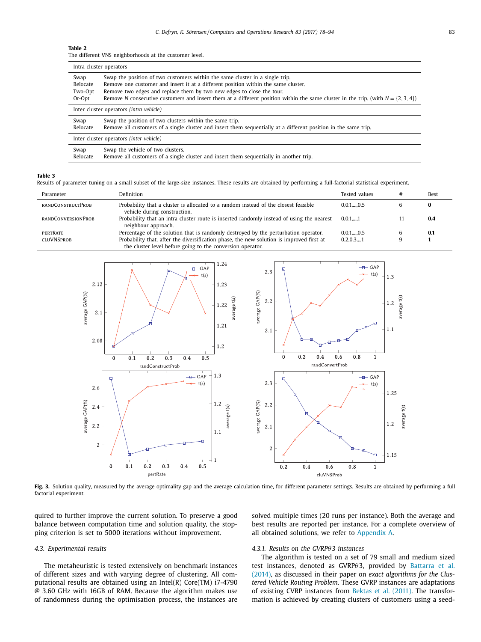<span id="page-6-0"></span>The different VNS neighborhoods at the customer level.

|                                                | Intra cluster operators                                                                                                               |  |  |  |  |  |  |  |
|------------------------------------------------|---------------------------------------------------------------------------------------------------------------------------------------|--|--|--|--|--|--|--|
| Swap                                           | Swap the position of two customers within the same cluster in a single trip.                                                          |  |  |  |  |  |  |  |
| Relocate                                       | Remove one customer and insert it at a different position within the same cluster.                                                    |  |  |  |  |  |  |  |
| Two-Opt                                        | Remove two edges and replace them by two new edges to close the tour.                                                                 |  |  |  |  |  |  |  |
| Or-Opt                                         | Remove N consecutive customers and insert them at a different position within the same cluster in the trip. (with $N = \{2, 3, 4\}$ ) |  |  |  |  |  |  |  |
| Inter cluster operators <i>(intra vehicle)</i> |                                                                                                                                       |  |  |  |  |  |  |  |
| Swap                                           | Swap the position of two clusters within the same trip.                                                                               |  |  |  |  |  |  |  |
| Relocate                                       | Remove all customers of a single cluster and insert them sequentially at a different position in the same trip.                       |  |  |  |  |  |  |  |
|                                                | Inter cluster operators <i>(inter vehicle)</i>                                                                                        |  |  |  |  |  |  |  |
| Swap                                           | Swap the vehicle of two clusters.                                                                                                     |  |  |  |  |  |  |  |
| Relocate                                       | Remove all customers of a single cluster and insert them sequentially in another trip.                                                |  |  |  |  |  |  |  |

#### **Table 3**

Results of parameter tuning on a small subset of the large-size instances. These results are obtained by performing a full-factorial statistical experiment.

| Parameter                 | Definition                                                                                                          | Tested values | # | Best |
|---------------------------|---------------------------------------------------------------------------------------------------------------------|---------------|---|------|
| <b>RANDCONSTRUCTPROB</b>  | Probability that a cluster is allocated to a random instead of the closest feasible<br>vehicle during construction. | $0.0.1$ $0.5$ |   |      |
| <b>RANDCONVERSIONPROB</b> | Probability that an intra cluster route is inserted randomly instead of using the nearest<br>neighbour approach.    | 0.0.11        |   | 0.4  |
| <b>PERTRATE</b>           | Percentage of the solution that is randomly destroyed by the perturbation operator.                                 | $0.0.1$ $0.5$ |   | 0.1  |
| <b>CLUVNSPROB</b>         | Probability that, after the diversification phase, the new solution is improved first at                            | 0.2, 0.3,1    |   |      |
|                           | the cluster level before going to the conversion operator.                                                          |               |   |      |



Fig. 3. Solution quality, measured by the average optimality gap and the average calculation time, for different parameter settings. Results are obtained by performing a full factorial experiment.

quired to further improve the current solution. To preserve a good balance between computation time and solution quality, the stopping criterion is set to 5000 iterations without improvement.

solved multiple times (20 runs per instance). Both the average and best results are reported per instance. For a complete overview of all obtained solutions, we refer to [Appendix](#page-11-0) A.

#### *4.3. Experimental results*

The metaheuristic is tested extensively on benchmark instances of different sizes and with varying degree of clustering. All computational results are obtained using an Intel(R) Core(TM) i7-4790 @ 3.60 GHz with 16GB of RAM. Because the algorithm makes use of randomness during the optimisation process, the instances are

### *4.3.1. Results on the GVRP*θ*3 instances*

The algorithm is tested on a set of 79 small and medium sized test instances, denoted as GVRPθ3, provided by Battarra et al. (2014), as discussed in their paper on *exact [algorithms](#page-16-0) for the Clustered Vehicle Routing Problem*. These GVRP instances are adaptations of existing CVRP instances from [Bektas](#page-16-0) et al. (2011). The transformation is achieved by creating clusters of customers using a seed-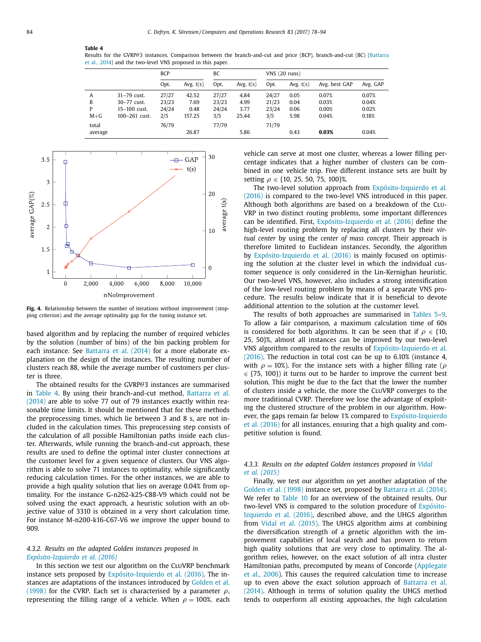<span id="page-7-0"></span>Results for the GVRPθ3 instances. Comparison between the [branch-and-cut](#page-16-0) and price (BCP), branch-and-cut (BC) (Battarra et al., 2014) and the two-level VNS proposed in this paper.

|         |               | <b>BCP</b> |             | BC    |             | VNS (20 runs) |             |               |          |
|---------|---------------|------------|-------------|-------|-------------|---------------|-------------|---------------|----------|
|         |               | Opt.       | Avg. $t(s)$ | Opt.  | Avg. $t(s)$ | Opt.          | Avg. $t(s)$ | Avg. best GAP | Avg. GAP |
| A       | 31-79 cust.   | 27/27      | 42.52       | 27/27 | 4.84        | 24/27         | 0.05        | 0.07%         | 0.07%    |
| B       | 30-77 cust.   | 23/23      | 7.69        | 23/23 | 4.99        | 21/23         | 0.04        | 0.03%         | 0.04%    |
| P       | 15-100 cust.  | 24/24      | 0.48        | 24/24 | 3.77        | 23/24         | 0.06        | 0.00%         | 0.02%    |
| $M + G$ | 100-261 cust. | 2/5        | 157.25      | 3/5   | 25.44       | 3/5           | 5.98        | 0.04%         | 0.18%    |
| total   |               | 76/79      |             | 77/79 |             | 71/79         |             |               |          |
| average |               |            | 26.87       |       | 5.86        |               | 0.43        | 0.03%         | 0.04%    |



**Fig. 4.** Relationship between the number of iterations without improvement (stopping criterion) and the average optimality gap for the tuning instance set.

based algorithm and by replacing the number of required vehicles by the solution (number of bins) of the bin packing problem for each instance. See [Battarra](#page-16-0) et al. (2014) for a more elaborate explanation on the design of the instances. The resulting number of clusters reach 88, while the average number of customers per cluster is three.

The obtained results for the GVRP $\theta$ 3 instances are summarised in Table 4. By using their [branch-and-cut](#page-16-0) method, Battarra et al. (2014) are able to solve 77 out of 79 instances exactly within reasonable time limits. It should be mentioned that for these methods the preprocessing times, which lie between 3 and 8 s, are not included in the calculation times. This preprocessing step consists of the calculation of all possible Hamiltonian paths inside each cluster. Afterwards, while running the branch-and-cut approach, these results are used to define the optimal inter cluster connections at the customer level for a given sequence of clusters. Our VNS algorithm is able to solve 71 instances to optimality, while significantly reducing calculation times. For the other instances, we are able to provide a high quality solution that lies on average 0.04% from optimality. For the instance G-n262-k25-C88-V9 which could not be solved using the exact approach, a heuristic solution with an objective value of 3310 is obtained in a very short calculation time. For instance M-n200-k16-C67-V6 we improve the upper bound to 909.

## *4.3.2. Results on the adapted Golden instances proposed in [Expósito-Izquierdo](#page-16-0) et al. (2016)*

In this section we test our algorithm on the CluVRP benchmark instance sets proposed by [Expósito-Izquierdo](#page-16-0) et al. (2016). The instances are adaptations of the instances introduced by Golden et al. (1998) for the CVRP. Each set is [characterised](#page-16-0) by a parameter  $\rho$ , representing the filling range of a vehicle. When  $\rho = 100\%$ , each vehicle can serve at most one cluster, whereas a lower filling percentage indicates that a higher number of clusters can be combined in one vehicle trip. Five different instance sets are built by setting  $\rho \in \{10, 25, 50, 75, 100\}\%$ .

The two-level solution approach from [Expósito-Izquierdo](#page-16-0) et al. (2016) is compared to the two-level VNS introduced in this paper. Although both algorithms are based on a breakdown of the CLU-VRP in two distinct routing problems, some important differences can be identified. First, [Expósito-Izquierdo](#page-16-0) et al. (2016) define the high-level routing problem by replacing all clusters by their *virtual center* by using the *center of mass concept*. Their approach is therefore limited to Euclidean instances. Secondly, the algorithm by [Expósito-Izquierdo](#page-16-0) et al. (2016) is mainly focused on optimising the solution at the cluster level in which the individual customer sequence is only considered in the Lin-Kernighan heuristic. Our two-level VNS, however, also includes a strong intensification of the low-level routing problem by means of a separate VNS procedure. The results below indicate that it is beneficial to devote additional attention to the solution at the customer level.

The results of both approaches are summarised in [Tables](#page-8-0) 5[–9.](#page-10-0) To allow a fair comparison, a maximum calculation time of 60s is considered for both algorithms. It can be seen that if  $\rho \in \{10,$ 25, 50}%, almost all instances can be improved by our two-level VNS algorithm compared to the results of [Expósito-Izquierdo](#page-16-0) et al. (2016). The reduction in total cost can be up to 6.10% (instance 4, with  $\rho = 10\%$ ). For the instance sets with a higher filling rate ( $\rho$  $\in$  {75, 100}) it turns out to be harder to improve the current best solution. This might be due to the fact that the lower the number of clusters inside a vehicle, the more the CluVRP converges to the more traditional CVRP. Therefore we lose the advantage of exploiting the clustered structure of the problem in our algorithm. However, the gaps remain far below 1% compared to [Expósito-Izquierdo](#page-16-0) et al. (2016) for all instances, ensuring that a high quality and competitive solution is found.

# *4.3.3. Results on the adapted Golden [instances](#page-17-0) proposed in Vidal et al. (2015)*

Finally, we test our algorithm on yet another adaptation of the [Golden](#page-16-0) et al. (1998) instance set, proposed by [Battarra](#page-16-0) et al. (2014). We refer to [Table](#page-10-0) 10 for an overview of the obtained results. Our two-level VNS is compared to the solution [procedure](#page-16-0) of Expósito-Izquierdo et al. (2016), described above, and the UHGS algorithm from Vidal et al. [\(2015\).](#page-17-0) The UHGS algorithm aims at combining the diversification strength of a genetic algorithm with the improvement capabilities of local search and has proven to return high quality solutions that are very close to optimality. The algorithm relies, however, on the exact solution of all intra cluster Hamiltonian paths, [precomputed](#page-16-0) by means of Concorde (Applegate et al., 2006). This causes the required calculation time to increase up to even above the exact solution [approach](#page-16-0) of Battarra et al. (2014). Although in terms of solution quality the UHGS method tends to outperform all existing approaches, the high calculation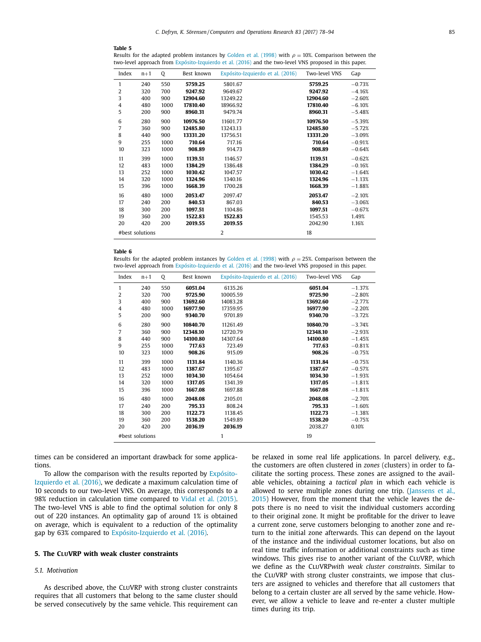<span id="page-8-0"></span>Results for the adapted problem instances by [Golden](#page-16-0) et al. (1998) with  $\rho = 10\%$ . Comparison between the two-level approach from [Expósito-Izquierdo](#page-16-0) et al. (2016) and the two-level VNS proposed in this paper.

| Index | $n+1$           | 0    | Best known | Expósito-Izquierdo et al. (2016) | Two-level VNS | Gap      |
|-------|-----------------|------|------------|----------------------------------|---------------|----------|
| 1     | 240             | 550  | 5759.25    | 5801.67                          | 5759.25       | $-0.73%$ |
| 2     | 320             | 700  | 9247.92    | 9649.67                          | 9247.92       | $-4.16%$ |
| 3     | 400             | 900  | 12904.60   | 13249.22                         | 12904.60      | $-2.60%$ |
| 4     | 480             | 1000 | 17810.40   | 18966.92                         | 17810.40      | $-6.10%$ |
| 5     | 200             | 900  | 8960.31    | 9479.74                          | 8960.31       | $-5.48%$ |
| 6     | 280             | 900  | 10976.50   | 11601.77                         | 10976.50      | $-5.39%$ |
| 7     | 360             | 900  | 12485.80   | 13243.13                         | 12485.80      | $-5.72%$ |
| 8     | 440             | 900  | 13331.20   | 13756.51                         | 13331.20      | $-3.09%$ |
| 9     | 255             | 1000 | 710.64     | 717.16                           | 710.64        | $-0.91%$ |
| 10    | 323             | 1000 | 908.89     | 914.73                           | 908.89        | $-0.64%$ |
| 11    | 399             | 1000 | 1139.51    | 1146.57                          | 1139.51       | $-0.62%$ |
| 12    | 483             | 1000 | 1384.29    | 1386.48                          | 1384.29       | $-0.16%$ |
| 13    | 252             | 1000 | 1030.42    | 1047.57                          | 1030.42       | $-1.64%$ |
| 14    | 320             | 1000 | 1324.96    | 1340.16                          | 1324.96       | $-1.13%$ |
| 15    | 396             | 1000 | 1668.39    | 1700.28                          | 1668.39       | $-1.88%$ |
| 16    | 480             | 1000 | 2053.47    | 2097.47                          | 2053.47       | $-2.10%$ |
| 17    | 240             | 200  | 840.53     | 867.03                           | 840.53        | $-3.06%$ |
| 18    | 300             | 200  | 1097.51    | 1104.86                          | 1097.51       | $-0.67%$ |
| 19    | 360             | 200  | 1522.83    | 1522.83                          | 1545.53       | 1.49%    |
| 20    | 420             | 200  | 2019.55    | 2019.55                          | 2042.90       | 1.16%    |
|       | #best solutions |      |            | $\overline{2}$                   | 18            |          |

#### **Table 6**

Results for the adapted problem instances by [Golden](#page-16-0) et al. (1998) with  $\rho = 25\%$ . Comparison between the two-level approach from [Expósito-Izquierdo](#page-16-0) et al. (2016) and the two-level VNS proposed in this paper.

| Index          | $n+1$           | Q    | Best known | Expósito-Izquierdo et al. (2016) | Two-level VNS | Gap      |
|----------------|-----------------|------|------------|----------------------------------|---------------|----------|
| 1              | 240             | 550  | 6051.04    | 6135.26                          | 6051.04       | $-1.37%$ |
| $\overline{2}$ | 320             | 700  | 9725.90    | 10005.59                         | 9725.90       | $-2.80%$ |
| 3              | 400             | 900  | 13692.60   | 14083.28                         | 13692.60      | $-2.77%$ |
| 4              | 480             | 1000 | 16977.90   | 17359.95                         | 16977.90      | $-2.20%$ |
| 5              | 200             | 900  | 9340.70    | 9701.89                          | 9340.70       | $-3.72%$ |
| 6              | 280             | 900  | 10840.70   | 11261.49                         | 10840.70      | $-3.74%$ |
| 7              | 360             | 900  | 12348.10   | 12720.79                         | 12348.10      | $-2.93%$ |
| 8              | 440             | 900  | 14100.80   | 14307.64                         | 14100.80      | $-1.45%$ |
| 9              | 255             | 1000 | 717.63     | 723.49                           | 717.63        | $-0.81%$ |
| 10             | 323             | 1000 | 908.26     | 915.09                           | 908.26        | $-0.75%$ |
| 11             | 399             | 1000 | 1131.84    | 1140.36                          | 1131.84       | $-0.75%$ |
| 12             | 483             | 1000 | 1387.67    | 1395.67                          | 1387.67       | $-0.57%$ |
| 13             | 252             | 1000 | 1034.30    | 1054.64                          | 1034.30       | $-1.93%$ |
| 14             | 320             | 1000 | 1317.05    | 1341.39                          | 1317.05       | $-1.81%$ |
| 15             | 396             | 1000 | 1667.08    | 1697.88                          | 1667.08       | $-1.81%$ |
| 16             | 480             | 1000 | 2048.08    | 2105.01                          | 2048.08       | $-2.70%$ |
| 17             | 240             | 200  | 795.33     | 808.24                           | 795.33        | $-1.60%$ |
| 18             | 300             | 200  | 1122.73    | 1138.45                          | 1122.73       | $-1.38%$ |
| 19             | 360             | 200  | 1538.20    | 1549.89                          | 1538.20       | $-0.75%$ |
| 20             | 420             | 200  | 2036.19    | 2036.19                          | 2038.27       | 0.10%    |
|                | #best solutions |      |            | 1                                | 19            |          |

times can be considered an important drawback for some applications.

To allow the [comparison](#page-16-0) with the results reported by Expósito-Izquierdo et al. (2016), we dedicate a maximum calculation time of 10 seconds to our two-level VNS. On average, this corresponds to a 98% reduction in calculation time compared to Vidal et al. [\(2015\).](#page-17-0) The two-level VNS is able to find the optimal solution for only 8 out of 220 instances. An optimality gap of around 1% is obtained on average, which is equivalent to a reduction of the optimality gap by 63% compared to [Expósito-Izquierdo](#page-16-0) et al. (2016).

#### **5. The CLUVRP with weak cluster constraints**

#### *5.1. Motivation*

As described above, the CLUVRP with strong cluster constraints requires that all customers that belong to the same cluster should be served consecutively by the same vehicle. This requirement can

be relaxed in some real life applications. In parcel delivery, e.g., the customers are often clustered in *zones* (clusters) in order to facilitate the sorting process. These zones are assigned to the available vehicles, obtaining a *tactical plan* in which each vehicle is allowed to serve multiple zones during one trip. (Janssens et al., 2015) [However,](#page-17-0) from the moment that the vehicle leaves the depots there is no need to visit the individual customers according to their original zone. It might be profitable for the driver to leave a current zone, serve customers belonging to another zone and return to the initial zone afterwards. This can depend on the layout of the instance and the individual customer locations, but also on real time traffic information or additional constraints such as time windows. This gives rise to another variant of the CLUVRP, which we define as the CluVRP*with weak cluster constraints*. Similar to the CluVRP with strong cluster constraints, we impose that clusters are assigned to vehicles and therefore that all customers that belong to a certain cluster are all served by the same vehicle. However, we allow a vehicle to leave and re-enter a cluster multiple times during its trip.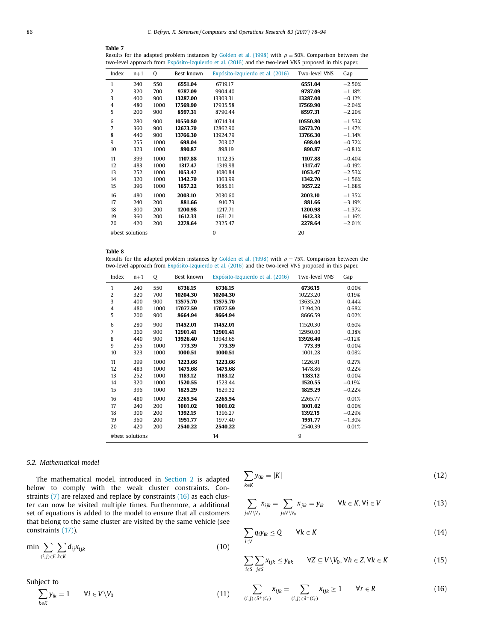Results for the adapted problem instances by [Golden](#page-16-0) et al. (1998) with  $\rho = 50\%$ . Comparison between the two-level approach from [Expósito-Izquierdo](#page-16-0) et al. (2016) and the two-level VNS proposed in this paper.

| Index           | $n+1$ | Q    | Best known | Expósito-Izquierdo et al. (2016) | Two-level VNS | Gap      |
|-----------------|-------|------|------------|----------------------------------|---------------|----------|
| 1               | 240   | 550  | 6551.04    | 6719.17                          | 6551.04       | $-2.50%$ |
| $\overline{2}$  | 320   | 700  | 9787.09    | 9904.40                          | 9787.09       | $-1.18%$ |
| 3               | 400   | 900  | 13287.00   | 13303.31                         | 13287.00      | $-0.12%$ |
| 4               | 480   | 1000 | 17569.90   | 17935.58                         | 17569.90      | $-2.04%$ |
| 5               | 200   | 900  | 8597.31    | 8790.44                          | 8597.31       | $-2.20%$ |
| 6               | 280   | 900  | 10550.80   | 10714.34                         | 10550.80      | $-1.53%$ |
| 7               | 360   | 900  | 12673.70   | 12862.90                         | 12673.70      | $-1.47%$ |
| 8               | 440   | 900  | 13766.30   | 13924.79                         | 13766.30      | $-1.14%$ |
| 9               | 255   | 1000 | 698.04     | 703.07                           | 698.04        | $-0.72%$ |
| 10              | 323   | 1000 | 890.87     | 898.19                           | 890.87        | $-0.81%$ |
| 11              | 399   | 1000 | 1107.88    | 1112.35                          | 1107.88       | $-0.40%$ |
| 12              | 483   | 1000 | 1317.47    | 1319.98                          | 1317.47       | $-0.19%$ |
| 13              | 252   | 1000 | 1053.47    | 1080.84                          | 1053.47       | $-2.53%$ |
| 14              | 320   | 1000 | 1342.70    | 1363.99                          | 1342.70       | $-1.56%$ |
| 15              | 396   | 1000 | 1657.22    | 1685.61                          | 1657.22       | $-1.68%$ |
| 16              | 480   | 1000 | 2003.10    | 2030.60                          | 2003.10       | $-1.35%$ |
| 17              | 240   | 200  | 881.66     | 910.73                           | 881.66        | $-3.19%$ |
| 18              | 300   | 200  | 1200.98    | 1217.71                          | 1200.98       | $-1.37%$ |
| 19              | 360   | 200  | 1612.33    | 1631.21                          | 1612.33       | $-1.16%$ |
| 20              | 420   | 200  | 2278.64    | 2325.47                          | 2278.64       | $-2.01%$ |
| #best solutions |       |      |            | 0                                | 20            |          |

#### **Table 8**

Results for the adapted problem instances by [Golden](#page-16-0) et al. (1998) with  $\rho = 75%$ . Comparison between the two-level approach from [Expósito-Izquierdo](#page-16-0) et al. (2016) and the two-level VNS proposed in this paper.

| Index | $n+1$           | Q    | Best known | Expósito-Izquierdo et al. (2016) | Two-level VNS | Gap      |
|-------|-----------------|------|------------|----------------------------------|---------------|----------|
| 1     | 240             | 550  | 6736.15    | 6736.15                          | 6736.15       | 0.00%    |
| 2     | 320             | 700  | 10204.30   | 10204.30                         | 10223.20      | 0.19%    |
| 3     | 400             | 900  | 13575.70   | 13575.70                         | 13635.20      | 0.44%    |
| 4     | 480             | 1000 | 17077.59   | 17077.59                         | 17194.20      | 0.68%    |
| 5     | 200             | 900  | 8664.94    | 8664.94                          | 8666.59       | 0.02%    |
| 6     | 280             | 900  | 11452.01   | 11452.01                         | 11520.30      | 0.60%    |
| 7     | 360             | 900  | 12901.41   | 12901.41                         | 12950.00      | 0.38%    |
| 8     | 440             | 900  | 13926.40   | 13943.65                         | 13926.40      | $-0.12%$ |
| 9     | 255             | 1000 | 773.39     | 773.39                           | 773.39        | 0.00%    |
| 10    | 323             | 1000 | 1000.51    | 1000.51                          | 1001.28       | 0.08%    |
| 11    | 399             | 1000 | 1223.66    | 1223.66                          | 1226.91       | 0.27%    |
| 12    | 483             | 1000 | 1475.68    | 1475.68                          | 1478.86       | 0.22%    |
| 13    | 252             | 1000 | 1183.12    | 1183.12                          | 1183.12       | 0.00%    |
| 14    | 320             | 1000 | 1520.55    | 1523.44                          | 1520.55       | $-0.19%$ |
| 15    | 396             | 1000 | 1825.29    | 1829.32                          | 1825.29       | $-0.22%$ |
| 16    | 480             | 1000 | 2265.54    | 2265.54                          | 2265.77       | 0.01%    |
| 17    | 240             | 200  | 1001.02    | 1001.02                          | 1001.02       | 0.00%    |
| 18    | 300             | 200  | 1392.15    | 1396.27                          | 1392.15       | $-0.29%$ |
| 19    | 360             | 200  | 1951.77    | 1977.40                          | 1951.77       | $-1.30%$ |
| 20    | 420             | 200  | 2540.22    | 2540.22                          | 2540.39       | 0.01%    |
|       | #best solutions |      |            | 14                               | 9             |          |

#### *5.2. Mathematical model*

The mathematical model, introduced in [Section](#page-2-0) 2 is adapted below to comply with the weak cluster constraints. Constraints  $(7)$  are relaxed and replace by constraints  $(16)$  as each cluster can now be visited multiple times. Furthermore, a additional set of equations is added to the model to ensure that all customers that belong to the same cluster are visited by the same vehicle (see constraints [\(17\)\)](#page-10-0).

$$
\min \sum_{(i,j)\in E} \sum_{k\in K} d_{ij} x_{ijk} \tag{10}
$$

Subject to

$$
\sum_{k \in K} y_{ik} = 1 \qquad \forall i \in V \setminus V_0 \tag{11}
$$

$$
\sum_{k \in K} y_{0k} = |K| \tag{12}
$$

$$
\sum_{j \in V \setminus V_0} x_{ijk} = \sum_{j \in V \setminus V_0} x_{jik} = y_{ik} \qquad \forall k \in K, \forall i \in V \tag{13}
$$

$$
\sum_{i\in V} q_i y_{ik} \le Q \qquad \forall k \in K \tag{14}
$$

$$
\sum_{i\in S}\sum_{j\notin S}x_{ijk}\leq y_{hk}\qquad\forall Z\subseteq V\backslash V_0,\forall h\in Z,\forall k\in K
$$
\n(15)

$$
\sum_{(i,j)\in\delta^+(C_r)} x_{ijk} = \sum_{(i,j)\in\delta^-(C_r)} x_{ijk} \ge 1 \qquad \forall r\in R
$$
 (16)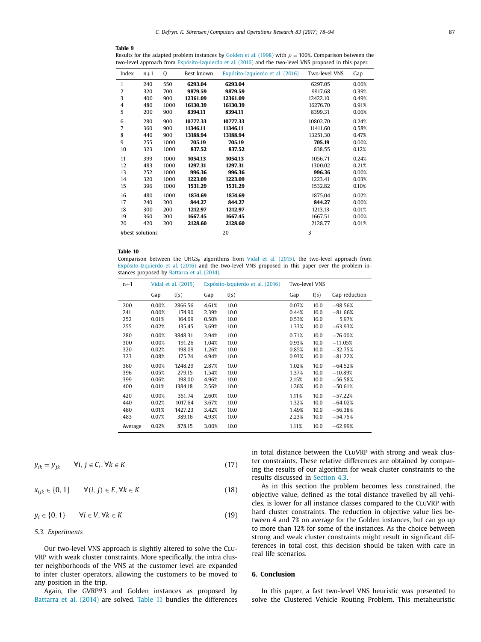<span id="page-10-0"></span>Results for the adapted problem instances by [Golden](#page-16-0) et al. (1998) with  $\rho = 100\%$ . Comparison between the two-level approach from [Expósito-Izquierdo](#page-16-0) et al. (2016) and the two-level VNS proposed in this paper.

| Index          | $n+1$           | $\mathsf{O}$ | Best known | Expósito-Izquierdo et al. (2016) | Two-level VNS | Gap   |
|----------------|-----------------|--------------|------------|----------------------------------|---------------|-------|
| 1              | 240             | 550          | 6293.04    | 6293.04                          | 6297.05       | 0.06% |
| $\overline{2}$ | 320             | 700          | 9879.59    | 9879.59                          | 9917.68       | 0.39% |
| 3              | 400             | 900          | 12361.09   | 12361.09                         | 12422.10      | 0.49% |
| $\overline{4}$ | 480             | 1000         | 16130.39   | 16130.39                         | 16276.70      | 0.91% |
| 5              | 200             | 900          | 8394.11    | 8394.11                          | 8399.31       | 0.06% |
| 6              | 280             | 900          | 10777.33   | 10777.33                         | 10802.70      | 0.24% |
| 7              | 360             | 900          | 11346.11   | 11346.11                         | 11411.60      | 0.58% |
| 8              | 440             | 900          | 13188.94   | 13188.94                         | 13251.30      | 0.47% |
| 9              | 255             | 1000         | 705.19     | 705.19                           | 705.19        | 0.00% |
| 10             | 323             | 1000         | 837.52     | 837.52                           | 838.55        | 0.12% |
| 11             | 399             | 1000         | 1054.13    | 1054.13                          | 1056.71       | 0.24% |
| 12             | 483             | 1000         | 1297.31    | 1297.31                          | 1300.02       | 0.21% |
| 13             | 252             | 1000         | 996.36     | 996.36                           | 996.36        | 0.00% |
| 14             | 320             | 1000         | 1223.09    | 1223.09                          | 1223.41       | 0.03% |
| 15             | 396             | 1000         | 1531.29    | 1531.29                          | 1532.82       | 0.10% |
| 16             | 480             | 1000         | 1874.69    | 1874.69                          | 1875.04       | 0.02% |
| 17             | 240             | 200          | 844.27     | 844.27                           | 844.27        | 0.00% |
| 18             | 300             | 200          | 1212.97    | 1212.97                          | 1213.13       | 0.01% |
| 19             | 360             | 200          | 1667.45    | 1667.45                          | 1667.51       | 0.00% |
| 20             | 420             | 200          | 2128.60    | 2128.60                          | 2128.77       | 0.01% |
|                | #best solutions |              |            | 20                               | 3             |       |

#### **Table 10**

Comparison between the UHGS*<sup>p</sup>* algorithms from Vidal et al. [\(2015\),](#page-17-0) the two-level approach from [Expósito-Izquierdo](#page-16-0) et al. (2016) and the two-level VNS proposed in this paper over the problem instances proposed by [Battarra](#page-16-0) et al. (2014).

| $n+1$   | Vidal et al. (2015) |         | Expósito-Izquierdo et al. (2016) |      | Two-level VNS |      |               |  |
|---------|---------------------|---------|----------------------------------|------|---------------|------|---------------|--|
|         | Gap                 | t(s)    | Gap                              | t(s) | Gap           | t(s) | Gap reduction |  |
| 200     | 0.00%               | 2866.56 | 4.61%                            | 10.0 | 0.07%         | 10.0 | $-98.56%$     |  |
| 241     | 0.00%               | 174.90  | 2.39%                            | 10.0 | 0.44%         | 10.0 | $-81.66%$     |  |
| 252     | 0.01%               | 164.69  | 0.50%                            | 10.0 | 0.53%         | 10.0 | 5.97%         |  |
| 255     | 0.02%               | 135.45  | 3.69%                            | 10.0 | 1.33%         | 10.0 | $-63.93%$     |  |
| 280     | 0.00%               | 3848.31 | 2.94%                            | 10.0 | 0.71%         | 10.0 | $-76.00%$     |  |
| 300     | 0.00%               | 191.26  | 1.04%                            | 10.0 | 0.93%         | 10.0 | $-11.05%$     |  |
| 320     | 0.02%               | 198.09  | 1.26%                            | 10.0 | 0.85%         | 10.0 | $-32.75%$     |  |
| 323     | 0.08%               | 175.74  | 4.94%                            | 10.0 | 0.93%         | 10.0 | $-81.22%$     |  |
| 360     | 0.00%               | 1248.29 | 2.87%                            | 10.0 | 1.02%         | 10.0 | $-64.52%$     |  |
| 396     | 0.05%               | 279.15  | 1.54%                            | 10.0 | 1.37%         | 10.0 | $-10.89%$     |  |
| 399     | 0.06%               | 198.00  | 4.96%                            | 10.0 | 2.15%         | 10.0 | $-56.58%$     |  |
| 400     | 0.01%               | 1384.18 | 2.56%                            | 10.0 | 1.26%         | 10.0 | $-50.61%$     |  |
| 420     | 0.00%               | 351.74  | 2.60%                            | 10.0 | 1.11%         | 10.0 | $-57.22%$     |  |
| 440     | 0.02%               | 1017.64 | 3.67%                            | 10.0 | 1.32%         | 10.0 | $-64.02%$     |  |
| 480     | 0.01%               | 1427.23 | 3.42%                            | 10.0 | 1.49%         | 10.0 | $-56.38%$     |  |
| 483     | 0.07%               | 389.16  | 4.93%                            | 10.0 | 2.23%         | 10.0 | $-54.75%$     |  |
| Average | 0.02%               | 878.15  | 3.00%                            | 10.0 | 1.11%         | 10.0 | $-62.99%$     |  |

$$
y_{ik} = y_{jk} \qquad \forall i, j \in C_r, \forall k \in K \tag{17}
$$

$$
x_{ijk} \in \{0, 1\} \qquad \forall (i, j) \in E, \forall k \in K \tag{18}
$$

*y<sub>i</sub>* ∈ {0, 1}  $\forall i \in V, \forall k \in K$  (19)

# *5.3. Experiments*

Our two-level VNS approach is slightly altered to solve the CLU-VRP with weak cluster constraints. More specifically, the intra cluster neighborhoods of the VNS at the customer level are expanded to inter cluster operators, allowing the customers to be moved to any position in the trip.

Again, the GVRPθ3 and Golden instances as proposed by [Battarra](#page-16-0) et al. (2014) are solved. [Table](#page-11-0) 11 bundles the differences in total distance between the CLUVRP with strong and weak cluster constraints. These relative differences are obtained by comparing the results of our algorithm for weak cluster constraints to the results discussed in [Section](#page-6-0) 4.3.

As in this section the problem becomes less constrained, the objective value, defined as the total distance travelled by all vehicles, is lower for all instance classes compared to the CluVRP with hard cluster constraints. The reduction in objective value lies between 4 and 7% on average for the Golden instances, but can go up to more than 12% for some of the instances. As the choice between strong and weak cluster constraints might result in significant differences in total cost, this decision should be taken with care in real life scenarios.

# **6. Conclusion**

In this paper, a fast two-level VNS heuristic was presented to solve the Clustered Vehicle Routing Problem. This metaheuristic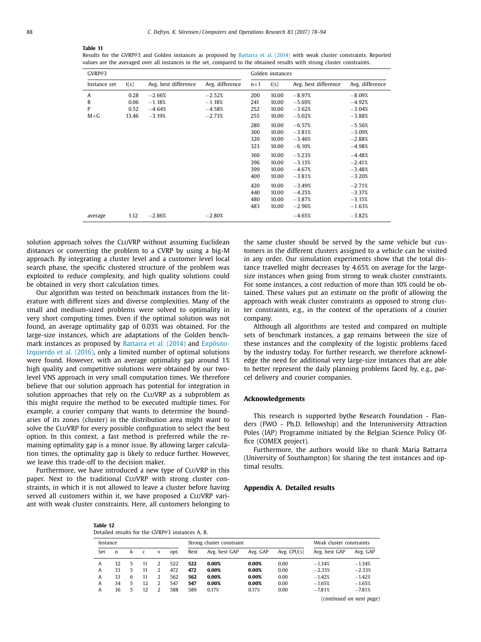<span id="page-11-0"></span>Results for the GVRP $\theta$ 3 and Golden instances as proposed by [Battarra](#page-16-0) et al. (2014) with weak cluster constraints. Reported values are the averaged over all instances in the set, compared to the obtained results with strong cluster constraints.

| $GVRP\theta$ 3 |       |                      | Golden instances |       |       |                      |                 |
|----------------|-------|----------------------|------------------|-------|-------|----------------------|-----------------|
| Instance set   | t(s)  | Avg. best difference | Avg. difference  | $n+1$ | t(s)  | Avg. best difference | Avg. difference |
| A              | 0.28  | $-2.66%$             | $-2.52%$         | 200   | 10.00 | $-8.97%$             | $-8.09%$        |
| B              | 0.06  | $-1.18%$             | $-1.18%$         | 241   | 10.00 | $-5.69%$             | $-4.92%$        |
| P              | 0.52  | $-4.64%$             | $-4.58%$         | 252   | 10.00 | $-3.62%$             | $-3.04%$        |
| $M + G$        | 13.46 | $-3.19%$             | $-2.73%$         | 255   | 10.00 | $-5.02%$             | $-3.88%$        |
|                |       |                      |                  | 280   | 10.00 | $-6.57%$             | $-5.56%$        |
|                |       |                      |                  | 300   | 10.00 | $-3.81%$             | $-3.09%$        |
|                |       |                      |                  | 320   | 10.00 | $-3.46%$             | $-2.88%$        |
|                |       |                      |                  | 323   | 10.00 | $-6.10%$             | $-4.98%$        |
|                |       |                      |                  | 360   | 10.00 | $-5.23%$             | $-4.48%$        |
|                |       |                      |                  | 396   | 10.00 | $-3.13%$             | $-2.41%$        |
|                |       |                      |                  | 399   | 10.00 | $-4.67%$             | $-3.48%$        |
|                |       |                      |                  | 400   | 10.00 | $-3.81%$             | $-3.20%$        |
|                |       |                      |                  | 420   | 10.00 | $-3.49%$             | $-2.71%$        |
|                |       |                      |                  | 440   | 10.00 | $-4.25%$             | $-3.37%$        |
|                |       |                      |                  | 480   | 10.00 | $-3.87%$             | $-3.15%$        |
|                |       |                      |                  | 483   | 10.00 | $-2.96%$             | $-1.63%$        |
| average        | 1.12  | $-2.86%$             | $-2.80%$         |       |       | $-4.65%$             | $-3.82%$        |

solution approach solves the CLUVRP without assuming Euclidean distances or converting the problem to a CVRP by using a big-M approach. By integrating a cluster level and a customer level local search phase, the specific clustered structure of the problem was exploited to reduce complexity, and high quality solutions could be obtained in very short calculation times.

Our algorithm was tested on benchmark instances from the literature with different sizes and diverse complexities. Many of the small and medium-sized problems were solved to optimality in very short computing times. Even if the optimal solution was not found, an average optimality gap of 0.03% was obtained. For the large-size instances, which are adaptations of the Golden benchmark instances as proposed by [Battarra](#page-16-0) et al. (2014) and [Expósito-](#page-16-0)Izquierdo et al. (2016), only a limited number of optimal solutions were found. However, with an average optimality gap around 1% high quality and competitive solutions were obtained by our twolevel VNS approach in very small computation times. We therefore believe that our solution approach has potential for integration in solution approaches that rely on the CLUVRP as a subproblem as this might require the method to be executed multiple times. For example, a courier company that wants to determine the boundaries of its zones (cluster) in the distribution area might want to solve the CLUVRP for every possible configuration to select the best option. In this context, a fast method is preferred while the remaining optimality gap is a minor issue. By allowing larger calculation times, the optimality gap is likely to reduce further. However, we leave this trade-off to the decision maker.

Furthermore, we have introduced a new type of CLUVRP in this paper. Next to the traditional CLUVRP with strong cluster constraints, in which it is not allowed to leave a cluster before having served all customers within it, we have proposed a CLUVRP variant with weak cluster constraints. Here, all customers belonging to the same cluster should be served by the same vehicle but customers in the different clusters assigned to a vehicle can be visited in any order. Our simulation experiments show that the total distance travelled might decreases by 4.65% on average for the largesize instances when going from strong to weak cluster constraints. For some instances, a cost reduction of more than 10% could be obtained. These values put an estimate on the profit of allowing the approach with weak cluster constraints as opposed to strong cluster constraints, e.g., in the context of the operations of a courier company.

Although all algorithms are tested and compared on multiple sets of benchmark instances, a gap remains between the size of these instances and the complexity of the logistic problems faced by the industry today. For further research, we therefore acknowledge the need for additional very large-size instances that are able to better represent the daily planning problems faced by, e.g., parcel delivery and courier companies.

#### **Acknowledgements**

This research is supported bythe Research Foundation - Flanders (FWO - Ph.D. fellowship) and the Interuniversity Attraction Poles (IAP) Programme initiated by the Belgian Science Policy Office (COMEX project).

Furthermore, the authors would like to thank Maria Battarra (University of Southampton) for sharing the test instances and optimal results.

## **Appendix A. Detailed results**

| Table 12 |  |  |                                                          |  |
|----------|--|--|----------------------------------------------------------|--|
|          |  |  | Detailed results for the GVRP $\theta$ 3 instances A. B. |  |

| Instance     |    |   |              |   |      | Strong cluster constraint |               |          |               | Weak cluster constraints |          |
|--------------|----|---|--------------|---|------|---------------------------|---------------|----------|---------------|--------------------------|----------|
| Set          | n  | k | <sub>c</sub> | V | opt. | Best                      | Avg. best GAP | Avg. GAP | Avg. $CPU(s)$ | Avg. best GAP            | Avg. GAP |
| A            | 32 | 5 |              | 2 | 522  | 522                       | $0.00\%$      | $0.00\%$ | 0.00          | $-1.34%$                 | $-1.34%$ |
| $\mathsf{A}$ | 33 | 5 |              | 2 | 472  | 472                       | $0.00\%$      | $0.00\%$ | 0.00          | $-2.33%$                 | $-2.33%$ |
| $\mathsf{A}$ | 33 | 6 |              | 2 | 562  | 562                       | $0.00\%$      | $0.00\%$ | 0.00          | $-1.42%$                 | $-1.42%$ |
| $\mathsf{A}$ | 34 | 5 | 12           | 2 | 547  | 547                       | $0.00\%$      | $0.00\%$ | 0.00          | $-1.65%$                 | $-1.65%$ |
| A            | 36 | 5 | 12           | 2 | 588  | 589                       | 0.17%         | 0.17%    | 0.00          | $-7.81%$                 | $-7.81%$ |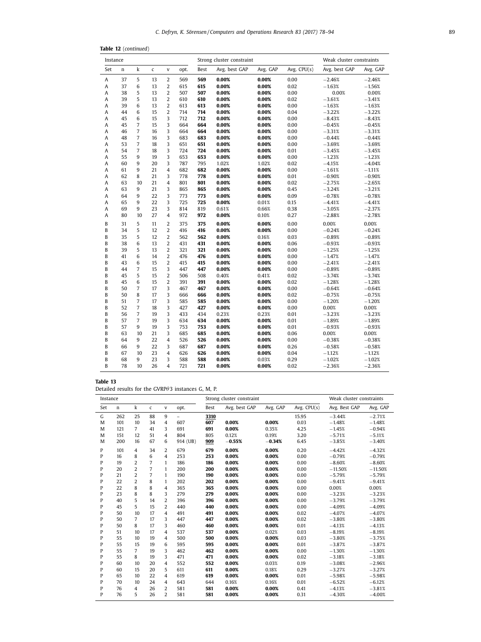| Instance |    |                |              |                |      |      | Strong cluster constraint | Weak cluster constraints |             |               |          |
|----------|----|----------------|--------------|----------------|------|------|---------------------------|--------------------------|-------------|---------------|----------|
| Set      | n  | k              | $\mathsf{C}$ | v              | opt. | Best | Avg. best GAP             | Avg. GAP                 | Avg. CPU(s) | Avg. best GAP | Avg. GAF |
| A        | 37 | 5              | 13           | $\overline{2}$ | 569  | 569  | 0.00%                     | 0.00%                    | 0.00        | $-2.46%$      | $-2.46%$ |
| A        | 37 | 6              | 13           | $\overline{2}$ | 615  | 615  | 0.00%                     | 0.00%                    | 0.02        | $-1.63%$      | $-1.56%$ |
| Α        | 38 | 5              | 13           | $\overline{2}$ | 507  | 507  | 0.00%                     | 0.00%                    | 0.00        | 0.00%         | 0.00%    |
| Α        | 39 | 5              | 13           | $\overline{c}$ | 610  | 610  | 0.00%                     | 0.00%                    | 0.02        | $-3.61%$      | $-3.41%$ |
| Α        | 39 | 6              | 13           | $\overline{2}$ | 613  | 613  | 0.00%                     | 0.00%                    | 0.00        | $-1.63%$      | $-1.63%$ |
| Α        | 44 | 6              | 15           | $\overline{2}$ | 714  | 714  | 0.00%                     | 0.00%                    | 0.04        | $-3.22%$      | $-3.22%$ |
| Α        | 45 | 6              | 15           | 3              | 712  | 712  | 0.00%                     | 0.00%                    | 0.00        | $-8.43%$      | $-8.43%$ |
| Α        | 45 | $\overline{7}$ | 15           | 3              | 664  | 664  | 0.00%                     | 0.00%                    | 0.00        | $-0.45%$      | $-0.45%$ |
| Α        | 46 | $\overline{7}$ | 16           | 3              | 664  | 664  | 0.00%                     | 0.00%                    | 0.00        | $-3.31%$      | $-3.31%$ |
| Α        | 48 | $\overline{7}$ | 16           | 3              | 683  | 683  | 0.00%                     | $0.00\%$                 | 0.00        | $-0.44%$      | $-0.44%$ |
| Α        | 53 | 7              | 18           | 3              | 651  | 651  | 0.00%                     | 0.00%                    | 0.00        | $-3.69%$      | $-3.69%$ |
| Α        | 54 | $\overline{7}$ | 18           | 3              | 724  | 724  | 0.00%                     | 0.00%                    | 0.01        | $-3.45%$      | $-3.45%$ |
| Α        | 55 | 9              | 19           | 3              | 653  | 653  | 0.00%                     | 0.00%                    | 0.00        | $-1.23%$      | $-1.23%$ |
| Α        | 60 | 9              | 20           | 3              | 787  | 795  | 1.02%                     | 1.02%                    | 0.02        | $-4.15%$      | $-4.04%$ |
| Α        | 61 | 9              | 21           | $\overline{4}$ | 682  | 682  | 0.00%                     | 0.00%                    | 0.00        | $-1.61%$      | $-1.11%$ |
| A        | 62 | 8              | 21           | 3              | 778  | 778  | 0.00%                     | 0.00%                    | 0.01        | $-0.90%$      | $-0.90%$ |
| Α        | 63 | 10             | 21           | $\overline{4}$ | 801  | 801  | 0.00%                     | 0.00%                    | 0.02        | $-2.75%$      | $-2.65%$ |
| A        | 63 | 9              | 21           | 3              | 865  | 865  | 0.00%                     | 0.00%                    | 0.45        | $-3.24%$      | $-3.21%$ |
| A        | 64 | 9              | 22           | 3              | 773  | 773  | 0.00%                     | 0.00%                    | 0.09        | $-0.78%$      | $-0.78%$ |
| A        | 65 | 9              | 22           | 3              | 725  | 725  | 0.00%                     | 0.01%                    | 0.15        | $-4.41%$      | $-4.41%$ |
| Α        | 69 | 9              | 23           | 3              | 814  | 819  | 0.61%                     | 0.66%                    | 0.38        | $-3.05%$      | $-2.37%$ |
| A        | 80 | 10             | 27           | $\overline{4}$ | 972  | 972  | 0.00%                     | 0.10%                    | 0.27        | $-2.88%$      | $-2.78%$ |
| B        | 31 | 5              | 11           | $\overline{2}$ | 375  | 375  | 0.00%                     | 0.00%                    | 0.00        | 0.00%         | 0.00%    |
| B        | 34 | 5              | 12           | $\overline{2}$ | 416  | 416  | 0.00%                     | 0.00%                    | 0.00        | $-0.24%$      | $-0.24%$ |
| B        | 35 | 5              | 12           | $\overline{2}$ | 562  | 562  | 0.00%                     | 0.16%                    | 0.03        | $-0.89%$      | $-0.89%$ |
| B        | 38 | 6              | 13           | $\overline{2}$ | 431  | 431  | 0.00%                     | 0.00%                    | 0.06        | $-0.93%$      | $-0.93%$ |
| B        | 39 | 5              | 13           | $\overline{2}$ | 321  | 321  | 0.00%                     | 0.00%                    | 0.00        | $-1.25%$      | $-1.25%$ |
| B        | 41 | 6              | 14           | $\overline{2}$ | 476  | 476  | 0.00%                     | 0.00%                    | 0.00        | $-1.47%$      | $-1.47%$ |
| B        | 43 | 6              | 15           | $\overline{2}$ | 415  | 415  | 0.00%                     | 0.00%                    | 0.00        | $-2.41%$      | $-2.41%$ |
| B        | 44 | $\overline{7}$ | 15           | 3              | 447  | 447  | 0.00%                     | 0.00%                    | 0.00        | $-0.89%$      | $-0.89%$ |
| B        | 45 | 5              | 15           | $\overline{2}$ | 506  | 508  | 0.40%                     | 0.41%                    | 0.02        | $-3.74%$      | $-3.74%$ |
| B        | 45 | 6              | 15           | $\overline{2}$ | 391  | 391  | 0.00%                     | 0.00%                    | 0.02        | $-1.28%$      | $-1.28%$ |
| B        | 50 | $\overline{7}$ | 17           | 3              | 467  | 467  | 0.00%                     | 0.00%                    | 0.00        | $-0.64%$      | $-0.64%$ |
| B        | 50 | 8              | 17           | 3              | 666  | 666  | 0.00%                     | 0.00%                    | 0.02        | $-0.75%$      | $-0.75%$ |
| B        | 51 | $\overline{7}$ | 17           | 3              | 585  | 585  | 0.00%                     | 0.00%                    | 0.00        | $-1.20%$      | $-1.20%$ |
| B        | 52 | $\overline{7}$ | 18           | 3              | 427  | 427  | 0.00%                     | 0.00%                    | 0.00        | 0.00%         | 0.00%    |
| B        | 56 | 7              | 19           | 3              | 433  | 434  | 0.23%                     | 0.23%                    | 0.01        | $-3.23%$      | $-3.23%$ |
| B        | 57 | $\overline{7}$ | 19           | 3              | 634  | 634  | 0.00%                     | 0.00%                    | 0.01        | $-1.89%$      | $-1.89%$ |
| B        | 57 | 9              | 19           | 3              | 753  | 753  | 0.00%                     | 0.00%                    | 0.01        | $-0.93%$      | $-0.93%$ |
| B        | 63 | 10             | 21           | 3              | 685  | 685  | 0.00%                     | 0.00%                    | 0.06        | 0.00%         | 0.00%    |
| B        | 64 | 9              | 22           | 4              | 526  | 526  | 0.00%                     | $0.00\%$                 | 0.00        | $-0.38%$      | $-0.38%$ |
| B        | 66 | 9              | 22           | 3              | 687  | 687  | 0.00%                     | 0.00%                    | 0.26        | $-0.58%$      | $-0.58%$ |
| B        | 67 | 10             | 23           | $\overline{4}$ | 626  | 626  | 0.00%                     | $0.00\%$                 | 0.04        | $-1.12%$      | $-1.12%$ |
| B        | 68 | 9              | 23           | 3              | 588  | 588  | $0.00\%$                  | 0.03%                    | 0.29        | $-1.02%$      | $-1.02%$ |
| B        | 78 | 10             | 26           | $\overline{4}$ | 721  | 721  | $0.00\%$                  | $0.00\%$                 | 0.02        | $-2.36%$      | $-2.36%$ |

|  | lable |  |  |
|--|-------|--|--|
|--|-------|--|--|

| Table 13                                                    |  |
|-------------------------------------------------------------|--|
| Detailed results for the GVRP $\theta$ 3 instances G, M, P. |  |

| Instance     |              |                |              |                |          |      | Strong cluster constraint | Weak cluster constraints |               |               |           |
|--------------|--------------|----------------|--------------|----------------|----------|------|---------------------------|--------------------------|---------------|---------------|-----------|
| Set          | $\mathbf{n}$ | $\bf k$        | $\mathsf{C}$ | V              | opt.     | Best | Avg. best GAP             | Avg. GAP                 | Avg. $CPU(s)$ | Avg. Best GAP | Avg. GAP  |
| $\mathsf{G}$ | 262          | 25             | 88           | 9              | $\sim$   | 3310 |                           |                          | 15.95         | $-3.44%$      | $-2.71%$  |
| M            | 101          | 10             | 34           | 4              | 607      | 607  | 0.00%                     | 0.00%                    | 0.03          | $-1.48%$      | $-1.48%$  |
| M            | 121          | $\overline{7}$ | 41           | 3              | 691      | 691  | 0.00%                     | 0.35%                    | 4.25          | $-1.45%$      | $-0.94%$  |
| M            | 151          | 12             | 51           | 4              | 804      | 805  | 0.12%                     | 0.19%                    | 3.20          | $-5.71%$      | $-5.11%$  |
| M            | 200          | 16             | 67           | 6              | 914 (UB) | 909  | $-0.55%$                  | $-0.34%$                 | 6.45          | $-3.85%$      | $-3.40%$  |
| P            | 101          | $\overline{4}$ | 34           | $\overline{2}$ | 679      | 679  | 0.00%                     | 0.00%                    | 0.20          | $-4.42%$      | $-4.32%$  |
| P            | 16           | 8              | 6            | 4              | 253      | 253  | 0.00%                     | 0.00%                    | 0.00          | $-0.79%$      | $-0.79%$  |
| P            | 19           | $\overline{2}$ | 7            | $\mathbf{1}$   | 186      | 186  | 0.00%                     | 0.00%                    | 0.00          | $-8.60%$      | $-8.60%$  |
| P            | 20           | $\overline{2}$ | 7            | $\mathbf{1}$   | 200      | 200  | 0.00%                     | 0.00%                    | 0.00          | $-11.50%$     | $-11.50%$ |
| P            | 21           | $\overline{2}$ | 7            | 1              | 190      | 190  | 0.00%                     | 0.00%                    | 0.00          | $-5.79%$      | $-5.79%$  |
| $\mathbf{P}$ | 22           | $\overline{2}$ | 8            | $\mathbf{1}$   | 202      | 202  | 0.00%                     | 0.00%                    | 0.00          | $-9.41%$      | $-9.41%$  |
| $\mathbf{P}$ | 22           | 8              | 8            | $\overline{4}$ | 365      | 365  | 0.00%                     | 0.00%                    | 0.00          | 0.00%         | 0.00%     |
| P            | 23           | 8              | 8            | 3              | 279      | 279  | 0.00%                     | 0.00%                    | 0.00          | $-3.23%$      | $-3.23%$  |
| P            | 40           | 5              | 14           | $\overline{2}$ | 396      | 396  | 0.00%                     | 0.00%                    | 0.00          | $-3.79%$      | $-3.79%$  |
| P            | 45           | 5              | 15           | $\overline{2}$ | 440      | 440  | 0.00%                     | 0.00%                    | 0.00          | $-4.09%$      | $-4.09%$  |
| P            | 50           | 10             | 17           | 4              | 491      | 491  | 0.00%                     | 0.00%                    | 0.02          | $-4.07%$      | $-4.07%$  |
| P            | 50           | 7              | 17           | 3              | 447      | 447  | 0.00%                     | 0.00%                    | 0.02          | $-3.80%$      | $-3.80%$  |
| $\mathbf{P}$ | 50           | 8              | 17           | 3              | 460      | 460  | 0.00%                     | 0.00%                    | 0.01          | $-4.13%$      | $-4.13%$  |
| P            | 51           | 10             | 17           | 4              | 537      | 537  | 0.00%                     | 0.02%                    | 0.03          | $-8.19%$      | $-8.19%$  |
| P            | 55           | 10             | 19           | 4              | 500      | 500  | 0.00%                     | 0.00%                    | 0.03          | $-3.80%$      | $-3.75%$  |
| P            | 55           | 15             | 19           | 6              | 595      | 595  | 0.00%                     | 0.00%                    | 0.01          | $-3.87%$      | $-3.87%$  |
| P            | 55           | $\overline{7}$ | 19           | 3              | 462      | 462  | 0.00%                     | 0.00%                    | 0.00          | $-1.30%$      | $-1.30%$  |
| P            | 55           | 8              | 19           | 3              | 471      | 471  | 0.00%                     | 0.00%                    | 0.02          | $-3.18%$      | $-3.18%$  |
| $\mathbf{P}$ | 60           | 10             | 20           | $\overline{4}$ | 552      | 552  | 0.00%                     | 0.03%                    | 0.19          | $-3.08%$      | $-2.96%$  |
| P            | 60           | 15             | 20           | 5              | 611      | 611  | 0.00%                     | 0.18%                    | 0.29          | $-3.27%$      | $-3.27%$  |
| P            | 65           | 10             | 22           | 4              | 619      | 619  | 0.00%                     | 0.00%                    | 0.01          | $-5.98%$      | $-5.98%$  |
| P            | 70           | 10             | 24           | 4              | 643      | 644  | 0.16%                     | 0.16%                    | 0.01          | $-6.52%$      | $-6.12%$  |
| P            | 76           | 4              | 26           | 2              | 581      | 581  | 0.00%                     | 0.00%                    | 0.41          | $-4.13%$      | $-3.81%$  |
| P            | 76           | 5              | 26           | $\overline{2}$ | 581      | 581  | 0.00%                     | 0.00%                    | 0.31          | $-4.30%$      | $-4.00%$  |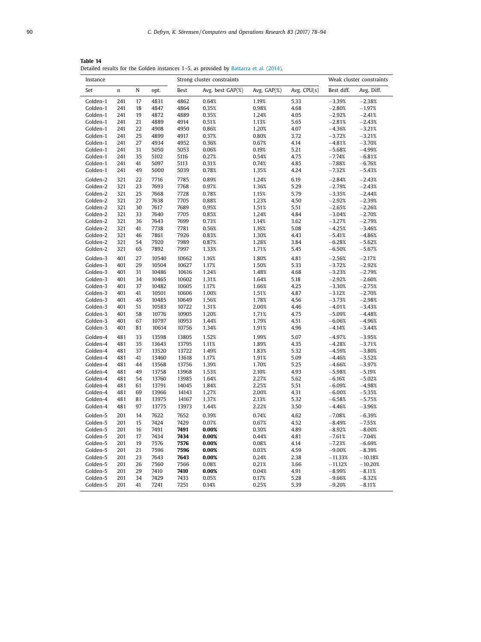**Table 14** Detailed results for the Golden instances 1–5, as provided by [Battarra](#page-16-0) et al. (2014).

| Instance |     |           |       |       | Strong cluster constraints |             |               | Weak cluster constraints |            |  |  |  |
|----------|-----|-----------|-------|-------|----------------------------|-------------|---------------|--------------------------|------------|--|--|--|
| Set      | n   | ${\bf N}$ | opt.  | Best  | Avg. best GAP(%)           | Avg. GAP(%) | Avg. $CPU(s)$ | Best diff.               | Avg. Diff. |  |  |  |
| Golden-1 | 241 | 17        | 4831  | 4862  | 0.64%                      | 1.19%       | 5.33          | $-3.39%$                 | $-2.38%$   |  |  |  |
| Golden-1 | 241 | 18        | 4847  | 4864  | 0.35%                      | 0.98%       | 4.68          | $-2.80%$                 | $-1.97%$   |  |  |  |
| Golden-1 | 241 | 19        | 4872  | 4889  | 0.35%                      | 1.24%       | 4.05          | $-2.92%$                 | $-2.41%$   |  |  |  |
| Golden-1 | 241 | 21        | 4889  | 4914  | 0.51%                      | 1.13%       | 5.65          | $-2.81%$                 | $-2.43%$   |  |  |  |
| Golden-1 | 241 | 22        | 4908  | 4950  | 0.86%                      | 1.20%       | 4.07          | $-4.36%$                 | $-3.21%$   |  |  |  |
| Golden-1 | 241 | 25        | 4899  | 4917  | 0.37%                      | 0.80%       | 3.72          | $-3.72%$                 | $-3.21%$   |  |  |  |
| Golden-1 | 241 | 27        | 4934  | 4952  | 0.36%                      | 0.67%       | 4.14          | $-4.81%$                 | $-3.70%$   |  |  |  |
| Golden-1 | 241 | 31        | 5050  | 5053  | 0.06%                      | 0.19%       | 5.21          | $-5.68%$                 | $-4.99%$   |  |  |  |
| Golden-1 | 241 | 35        | 5102  | 5116  | 0.27%                      | 0.54%       | 4.75          | $-7.74%$                 | $-6.81%$   |  |  |  |
| Golden-1 | 241 | 41        | 5097  | 5113  | 0.31%                      | 0.74%       | 4.85          | $-7.88%$                 | $-6.76%$   |  |  |  |
| Golden-1 | 241 | 49        | 5000  | 5039  | 0.78%                      | 1.35%       | 4.24          | $-7.32%$                 | $-5.43%$   |  |  |  |
| Golden-2 | 321 | 22        | 7716  | 7785  | 0.89%                      | 1.24%       | 6.19          | $-2.84%$                 | $-2.43%$   |  |  |  |
| Golden-2 | 321 | 23        | 7693  | 7768  | 0.97%                      | 1.36%       | 5.29          | $-2.79%$                 | $-2.43%$   |  |  |  |
| Golden-2 | 321 | 25        | 7668  | 7728  | 0.78%                      | 1.15%       | 5.79          | $-3.35%$                 | $-2.44%$   |  |  |  |
| Golden-2 | 321 | 27        | 7638  | 7705  | 0.88%                      | 1.23%       | 4.50          | $-2.92%$                 | $-2.39%$   |  |  |  |
| Golden-2 | 321 | 30        | 7617  | 7689  | 0.95%                      | 1.51%       | 5.51          | $-2.65%$                 | $-2.26%$   |  |  |  |
| Golden-2 | 321 | 33        | 7640  | 7705  | 0.85%                      | 1.24%       | 4.84          | $-3.04%$                 | $-2.70%$   |  |  |  |
| Golden-2 | 321 | 36        | 7643  | 7699  | 0.73%                      | 1.14%       | 3.62          | $-3.27%$                 | $-2.79%$   |  |  |  |
| Golden-2 | 321 | 41        | 7738  | 7781  | 0.56%                      | 1.16%       | 5.08          | $-4.25%$                 | $-3.46%$   |  |  |  |
| Golden-2 | 321 | 46        | 7861  | 7926  | 0.83%                      | 1.30%       | 4.43          | $-5.41%$                 | $-4.86%$   |  |  |  |
| Golden-2 | 321 | 54        | 7920  | 7989  | 0.87%                      | 1.28%       | 3.84          | $-6.28%$                 | $-5.62%$   |  |  |  |
| Golden-2 | 321 | 65        | 7892  | 7997  | 1.33%                      | 1.71%       | 5.45          | $-6.50%$                 | $-5.67%$   |  |  |  |
| Golden-3 | 401 | 27        | 10540 | 10662 | 1.16%                      | 1.80%       | 4.81          | $-2.56%$                 | $-2.17%$   |  |  |  |
| Golden-3 | 401 | 29        | 10504 | 10627 | 1.17%                      | 1.50%       | 5.33          | $-3.72%$                 | $-2.92%$   |  |  |  |
| Golden-3 | 401 | 31        | 10486 | 10616 | 1.24%                      | 1.48%       | 4.68          | $-3.23%$                 | $-2.79%$   |  |  |  |
| Golden-3 | 401 | 34        | 10465 | 10602 | 1.31%                      | 1.64%       | 5.18          | $-2.92%$                 | $-2.60%$   |  |  |  |
| Golden-3 | 401 | 37        | 10482 | 10605 | 1.17%                      | 1.66%       | 4.25          | $-3.30%$                 | $-2.75%$   |  |  |  |
| Golden-3 | 401 | 41        | 10501 | 10606 | 1.00%                      | 1.51%       | 4.87          | $-3.12%$                 | $-2.70%$   |  |  |  |
| Golden-3 | 401 | 45        | 10485 | 10649 | 1.56%                      | 1.78%       | 4.56          | $-3.73%$                 | $-2.98%$   |  |  |  |
| Golden-3 | 401 | 51        | 10583 | 10722 | 1.31%                      | 2.00%       | 4.46          | $-4.01%$                 | $-3.43%$   |  |  |  |
| Golden-3 | 401 | 58        | 10776 | 10905 | 1.20%                      | 1.71%       | 4.75          | $-5.09%$                 | $-4.48%$   |  |  |  |
| Golden-3 | 401 | 67        | 10797 | 10953 | 1.44%                      | 1.79%       | 4.51          | $-6.06%$                 | $-4.96%$   |  |  |  |
| Golden-3 | 401 | 81        | 10614 | 10756 | 1.34%                      | 1.91%       | 4.96          | $-4.14%$                 | $-3.44%$   |  |  |  |
| Golden-4 | 481 | 33        | 13598 | 13805 | 1.52%                      | 1.99%       | 5.07          | $-4.97%$                 | $-3.95%$   |  |  |  |
| Golden-4 | 481 | 35        | 13643 | 13795 | 1.11%                      | 1.89%       | 4.35          | $-4.28%$                 | $-3.71%$   |  |  |  |
| Golden-4 | 481 | 37        | 13520 | 13722 | 1.49%                      | 1.83%       | 5.32          | $-4.59%$                 | $-3.80%$   |  |  |  |
| Golden-4 | 481 | 41        | 13460 | 13618 | 1.17%                      | 1.91%       | 5.09          | $-4.46%$                 | $-3.52%$   |  |  |  |
| Golden-4 | 481 | 44        | 13568 | 13756 | 1.39%                      | 1.70%       | 5.25          | $-4.66%$                 | $-3.97%$   |  |  |  |
| Golden-4 | 481 | 49        | 13758 | 13968 | 1.53%                      | 2.10%       | 4.93          | $-5.98%$                 | $-5.19%$   |  |  |  |
| Golden-4 | 481 | 54        | 13760 | 13985 | 1.64%                      | 2.27%       | 5.62          | $-6.16%$                 | $-5.02%$   |  |  |  |
| Golden-4 | 481 | 61        | 13791 | 14045 | 1.84%                      | 2.25%       | 5.51          | $-6.09%$                 | $-4.98%$   |  |  |  |
| Golden-4 | 481 | 69        | 13966 | 14143 | 1.27%                      | 2.00%       | 4.31          | $-6.00%$                 | $-5.35%$   |  |  |  |
| Golden-4 | 481 | 81        | 13975 | 14167 | 1.37%                      | 2.13%       | 5.32          | $-6.58%$                 | $-5.75%$   |  |  |  |
| Golden-4 | 481 | 97        | 13775 | 13973 | 1.44%                      | 2.22%       | 3.50          | $-4.46%$                 | $-3.96%$   |  |  |  |
| Golden-5 | 201 | 14        | 7622  | 7652  | 0.39%                      | 0.74%       | 4.62          | $-7.08%$                 | $-6.39%$   |  |  |  |
| Golden-5 | 201 | 15        | 7424  | 7429  | 0.07%                      | 0.67%       | 4.52          | $-8.49%$                 | $-7.55%$   |  |  |  |
| Golden-5 | 201 | 16        | 7491  | 7491  | 0.00%                      | 0.30%       | 4.89          | $-8.92%$                 | $-8.00%$   |  |  |  |
| Golden-5 | 201 | 17        | 7434  | 7434  | 0.00%                      | 0.44%       | 4.81          | $-7.61%$                 | $-7.04%$   |  |  |  |
| Golden-5 | 201 | 19        | 7576  | 7576  | 0.00%                      | 0.08%       | 4.14          | $-7.23%$                 | $-6.69%$   |  |  |  |
| Golden-5 | 201 | 21        | 7596  | 7596  | 0.00%                      | 0.03%       | 4.59          | $-9.00%$                 | $-8.39%$   |  |  |  |
| Golden-5 | 201 | 23        | 7643  | 7643  | 0.00%                      | 0.24%       | 2.38          | $-11.33%$                | $-10.18%$  |  |  |  |
| Golden-5 | 201 | 26        | 7560  | 7566  | 0.08%                      | 0.21%       | 3.66          | $-11.12%$                | $-10.20%$  |  |  |  |
| Golden-5 | 201 | 29        | 7410  | 7410  | 0.00%                      | 0.04%       | 4.91          | $-8.99%$                 | $-8.11%$   |  |  |  |
| Golden-5 | 201 | 34        | 7429  | 7433  | 0.05%                      | 0.17%       | 5.28          | $-9.66%$                 | $-8.32%$   |  |  |  |
| Golden-5 | 201 | 41        | 7241  | 7251  | 0.14%                      | 0.25%       | 5.39          | $-9.20%$                 | $-8.11%$   |  |  |  |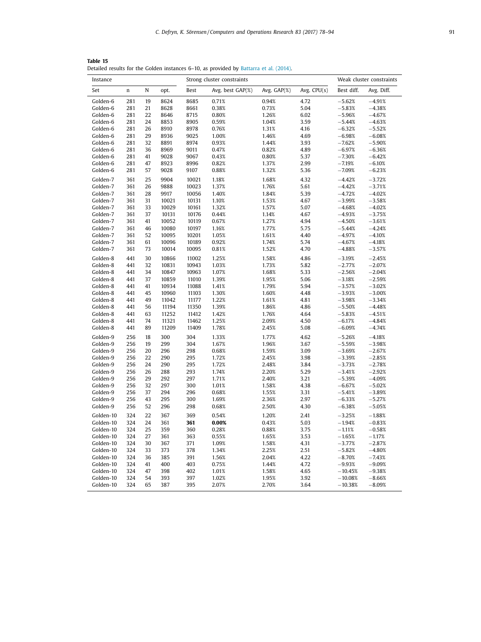| Table 15                                                                               |  |
|----------------------------------------------------------------------------------------|--|
| Detailed results for the Golden instances 6–10, as provided by Battarra et al. (2014). |  |

| Instance  |     |           |       |       | Strong cluster constraints | Weak cluster constraints |             |            |            |
|-----------|-----|-----------|-------|-------|----------------------------|--------------------------|-------------|------------|------------|
| Set       | n   | ${\bf N}$ | opt.  | Best  | Avg. best GAP(%)           | Avg. GAP(%)              | Avg. CPU(s) | Best diff. | Avg. Diff. |
| Golden-6  | 281 | 19        | 8624  | 8685  | 0.71%                      | 0.94%                    | 4.72        | $-5.62%$   | $-4.91%$   |
| Golden-6  | 281 | 21        | 8628  | 8661  | 0.38%                      | 0.73%                    | 5.04        | $-5.83%$   | $-4.38%$   |
| Golden-6  | 281 | 22        | 8646  | 8715  | 0.80%                      | 1.26%                    | 6.02        | $-5.96%$   | $-4.67%$   |
| Golden-6  | 281 | 24        | 8853  | 8905  | 0.59%                      | 1.04%                    | 3.59        | $-5.44%$   | $-4.63%$   |
| Golden-6  | 281 | 26        | 8910  | 8978  | 0.76%                      | 1.31%                    | 4.16        | $-6.32%$   | $-5.52%$   |
|           |     |           |       |       |                            |                          |             |            | $-6.08%$   |
| Golden-6  | 281 | 29        | 8936  | 9025  | 1.00%                      | 1.46%                    | 4.69        | $-6.98%$   |            |
| Golden-6  | 281 | 32        | 8891  | 8974  | 0.93%                      | 1.44%                    | 3.93        | $-7.62%$   | $-5.90%$   |
| Golden-6  | 281 | 36        | 8969  | 9011  | 0.47%                      | 0.82%                    | 4.89        | $-6.97%$   | $-6.36%$   |
| Golden-6  | 281 | 41        | 9028  | 9067  | 0.43%                      | 0.80%                    | 5.37        | $-7.30%$   | $-6.42%$   |
| Golden-6  | 281 | 47        | 8923  | 8996  | 0.82%                      | 1.37%                    | 2.99        | $-7.19%$   | $-6.10%$   |
| Golden-6  | 281 | 57        | 9028  | 9107  | 0.88%                      | 1.32%                    | 5.36        | $-7.09%$   | $-6.23%$   |
| Golden-7  | 361 | 25        | 9904  | 10021 | 1.18%                      | 1.68%                    | 4.32        | $-4.42%$   | $-3.72%$   |
| Golden-7  | 361 | 26        | 9888  | 10023 | 1.37%                      | 1.76%                    | 5.61        | $-4.42%$   | $-3.71%$   |
| Golden-7  | 361 | 28        | 9917  | 10056 | 1.40%                      | 1.84%                    | 5.39        | $-4.72%$   | $-4.02%$   |
| Golden-7  | 361 | 31        | 10021 | 10131 | 1.10%                      | 1.53%                    | 4.67        | $-3.99%$   | $-3.58%$   |
| Golden-7  | 361 | 33        | 10029 | 10161 | 1.32%                      | 1.57%                    | 5.07        | $-4.68%$   | $-4.02%$   |
| Golden-7  | 361 | 37        | 10131 | 10176 | 0.44%                      | 1.14%                    | 4.67        | $-4.93%$   | $-3.75%$   |
| Golden-7  | 361 | 41        | 10052 | 10119 | 0.67%                      | 1.27%                    | 4.94        | $-4.50%$   | $-3.61%$   |
| Golden-7  | 361 | 46        | 10080 | 10197 | 1.16%                      | 1.77%                    | 5.75        | $-5.44%$   | $-4.24%$   |
| Golden-7  | 361 | 52        | 10095 | 10201 | 1.05%                      | 1.61%                    | 4.40        | $-4.97%$   | $-4.10%$   |
| Golden-7  | 361 | 61        | 10096 | 10189 | 0.92%                      | 1.74%                    | 5.74        | $-4.67%$   | $-4.18%$   |
| Golden-7  | 361 | 73        | 10014 | 10095 | 0.81%                      | 1.52%                    | 4.70        | $-4.88%$   | $-3.57%$   |
| Golden-8  | 441 | 30        | 10866 | 11002 | 1.25%                      | 1.58%                    | 4.86        | $-3.19%$   | $-2.45%$   |
| Golden-8  | 441 | 32        | 10831 | 10943 | 1.03%                      | 1.73%                    | 5.82        | $-2.77%$   | $-2.07%$   |
| Golden-8  | 441 | 34        | 10847 | 10963 | 1.07%                      | 1.68%                    | 5.33        | $-2.56%$   | $-2.04%$   |
|           | 441 | 37        |       |       |                            |                          | 5.06        |            | $-2.59%$   |
| Golden-8  |     |           | 10859 | 11010 | 1.39%                      | 1.95%                    |             | $-3.18%$   |            |
| Golden-8  | 441 | 41        | 10934 | 11088 | 1.41%                      | 1.79%                    | 5.94        | $-3.57%$   | $-3.02%$   |
| Golden-8  | 441 | 45        | 10960 | 11103 | 1.30%                      | 1.60%                    | 4.48        | $-3.93%$   | $-3.00%$   |
| Golden-8  | 441 | 49        | 11042 | 11177 | 1.22%                      | 1.61%                    | 4.81        | $-3.98%$   | $-3.34%$   |
| Golden-8  | 441 | 56        | 11194 | 11350 | 1.39%                      | 1.86%                    | 4.86        | $-5.50%$   | $-4.48%$   |
| Golden-8  | 441 | 63        | 11252 | 11412 | 1.42%                      | 1.76%                    | 4.64        | $-5.83%$   | $-4.51%$   |
| Golden-8  | 441 | 74        | 11321 | 11462 | 1.25%                      | 2.09%                    | 4.50        | $-6.17%$   | $-4.84%$   |
| Golden-8  | 441 | 89        | 11209 | 11409 | 1.78%                      | 2.45%                    | 5.08        | $-6.09%$   | $-4.74%$   |
| Golden-9  | 256 | 18        | 300   | 304   | 1.33%                      | 1.77%                    | 4.62        | $-5.26%$   | $-4.18%$   |
| Golden-9  | 256 | 19        | 299   | 304   | 1.67%                      | 1.96%                    | 3.67        | $-5.59%$   | $-3.98%$   |
| Golden-9  | 256 | 20        | 296   | 298   | 0.68%                      | 1.59%                    | 3.09        | $-3.69%$   | $-2.67%$   |
| Golden-9  | 256 | 22        | 290   | 295   | 1.72%                      | 2.45%                    | 3.98        | $-3.39%$   | $-2.85%$   |
| Golden-9  | 256 | 24        | 290   | 295   | 1.72%                      | 2.48%                    | 3.84        | $-3.73%$   | $-2.78%$   |
| Golden-9  | 256 | 26        | 288   | 293   | 1.74%                      | 2.20%                    | 5.29        | $-3.41%$   | $-2.92%$   |
| Golden-9  | 256 | 29        | 292   | 297   | 1.71%                      | 2.40%                    | 3.21        | $-5.39%$   | $-4.09%$   |
| Golden-9  | 256 | 32        | 297   | 300   | 1.01%                      | 1.58%                    | 4.38        | $-6.67%$   | $-5.02%$   |
| Golden-9  | 256 | 37        | 294   | 296   | 0.68%                      | 1.55%                    | 3.31        | $-5.41%$   | $-3.89%$   |
| Golden-9  | 256 | 43        | 295   | 300   | 1.69%                      | 2.36%                    | 2.97        | $-6.33%$   | $-5.27%$   |
| Golden-9  | 256 | 52        | 296   | 298   | 0.68%                      | 2.50%                    | 4.30        | $-6.38%$   | $-5.05%$   |
| Golden-10 | 324 | 22        | 367   | 369   | 0.54%                      | 1.20%                    | 2.41        | $-3.25%$   | $-1.88%$   |
| Golden-10 | 324 | 24        | 361   | 361   | 0.00%                      | 0.43%                    | 5.03        | $-1.94%$   | $-0.83%$   |
| Golden-10 | 324 | 25        | 359   | 360   | 0.28%                      | 0.88%                    | 3.75        | $-1.11%$   | $-0.58%$   |
| Golden-10 | 324 | 27        | 361   | 363   | 0.55%                      | 1.65%                    | 3.53        | $-1.65%$   | $-1.17%$   |
| Golden-10 | 324 | 30        | 367   | 371   | 1.09%                      | 1.58%                    | 4.31        | $-3.77%$   | $-2.87%$   |
|           |     |           |       |       |                            |                          |             |            |            |
| Golden-10 | 324 | 33        | 373   | 378   | 1.34%                      | 2.25%                    | 2.51        | $-5.82%$   | $-4.80%$   |
| Golden-10 | 324 | 36        | 385   | 391   | 1.56%                      | 2.04%                    | 4.22        | $-8.70%$   | $-7.43%$   |
| Golden-10 | 324 | 41        | 400   | 403   | 0.75%                      | 1.44%                    | 4.72        | $-9.93%$   | $-9.09%$   |
| Golden-10 | 324 | 47        | 398   | 402   | 1.01%                      | 1.58%                    | 4.65        | $-10.45%$  | $-9.38%$   |
| Golden-10 | 324 | 54        | 393   | 397   | 1.02%                      | 1.95%                    | 3.92        | $-10.08%$  | $-8.66%$   |
| Golden-10 | 324 | 65        | 387   | 395   | 2.07%                      | 2.70%                    | 3.64        | $-10.38%$  | $-8.09%$   |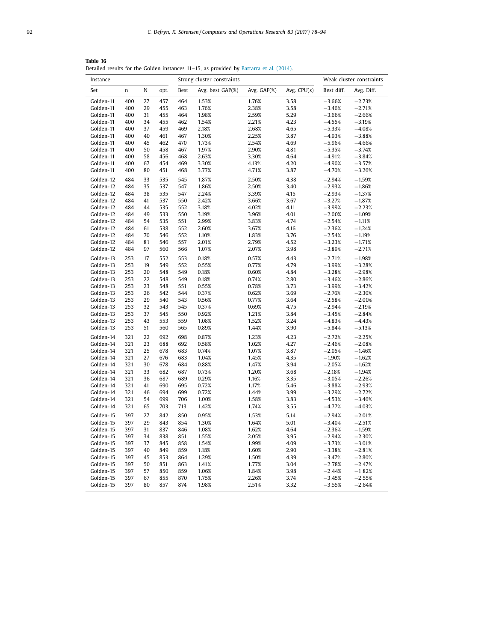**Table 16** Detailed results for the Golden instances 11–15, as provided by [Battarra](#page-16-0) et al. (2014).

| Instance               |             |          |            |            | Strong cluster constraints |             |              | Weak cluster constraints |            |  |  |  |
|------------------------|-------------|----------|------------|------------|----------------------------|-------------|--------------|--------------------------|------------|--|--|--|
| Set                    | $\mathbf n$ | N        | opt.       | Best       | Avg. best $GAP(\%)$        | Avg. GAP(%) | Avg. CPU(s)  | Best diff.               | Avg. Diff. |  |  |  |
| Golden-11              | 400         | 27       | 457        | 464        | 1.53%                      | 1.76%       | 3.58         | $-3.66%$                 | $-2.73%$   |  |  |  |
| Golden-11              | 400         | 29       | 455        | 463        | 1.76%                      | 2.38%       | 3.58         | $-3.46%$                 | $-2.71%$   |  |  |  |
| Golden-11              | 400         | 31       | 455        | 464        | 1.98%                      | 2.59%       | 5.29         | $-3.66%$                 | $-2.66%$   |  |  |  |
| Golden-11              | 400         | 34       | 455        | 462        | 1.54%                      | 2.21%       | 4.23         | $-4.55%$                 | $-3.19%$   |  |  |  |
| Golden-11              | 400         | 37       | 459        | 469        | 2.18%                      | 2.68%       | 4.65         | $-5.33%$                 | $-4.08%$   |  |  |  |
| Golden-11              | 400         | 40       | 461        | 467        | 1.30%                      | 2.25%       | 3.87         | $-4.93%$                 | $-3.88%$   |  |  |  |
| Golden-11              | 400         | 45       | 462        | 470        | 1.73%                      | 2.54%       | 4.69         | $-5.96%$                 | $-4.66%$   |  |  |  |
| Golden-11              | 400         | 50       | 458        | 467        | 1.97%                      | 2.90%       | 4.81         | $-5.35%$                 | $-3.74%$   |  |  |  |
| Golden-11              | 400         | 58       | 456        | 468        | 2.63%                      | 3.30%       | 4.64         | $-4.91%$                 | $-3.84%$   |  |  |  |
| Golden-11              | 400         | 67       | 454        | 469        | 3.30%                      | 4.13%       | 4.20         | $-4.90%$                 | $-3.57%$   |  |  |  |
| Golden-11              | 400         | 80       | 451        | 468        | 3.77%                      | 4.71%       | 3.87         | $-4.70%$                 | $-3.26%$   |  |  |  |
| Golden-12              | 484         | 33       | 535        | 545        | 1.87%                      | 2.50%       | 4.38         | $-2.94%$                 | $-1.59%$   |  |  |  |
| Golden-12              | 484         | 35       | 537        | 547        | 1.86%                      | 2.50%       | 3.40         | $-2.93%$                 | $-1.86%$   |  |  |  |
| Golden-12              | 484         | 38       | 535        | 547        | 2.24%                      | 3.39%       | 4.15         | $-2.93%$                 | $-1.37%$   |  |  |  |
| Golden-12              | 484         | 41       | 537        | 550        | 2.42%                      | 3.66%       | 3.67         | $-3.27%$                 | $-1.87%$   |  |  |  |
| Golden-12              | 484         | 44       | 535        | 552        | 3.18%                      | 4.02%       | 4.11         | $-3.99%$                 | $-2.23%$   |  |  |  |
| Golden-12              | 484         | 49       | 533        | 550        | 3.19%                      | 3.96%       | 4.01         | $-2.00%$                 | $-1.09%$   |  |  |  |
| Golden-12              | 484         | 54       | 535        | 551        | 2.99%                      | 3.83%       | 4.74         | $-2.54%$                 | $-1.11%$   |  |  |  |
| Golden-12              | 484         | 61       | 538        | 552        | 2.60%                      | 3.67%       | 4.16         | $-2.36%$                 | $-1.24%$   |  |  |  |
| Golden-12              | 484         | 70       | 546        | 552        | 1.10%                      | 1.83%       | 3.76         | $-2.54%$                 | $-1.19%$   |  |  |  |
| Golden-12              | 484         | 81       | 546        | 557        | 2.01%                      | 2.79%       | 4.52         | $-3.23%$                 | $-1.71%$   |  |  |  |
| Golden-12              | 484         | 97       | 560        | 566        | 1.07%                      | 2.07%       | 3.98         | $-3.89%$                 | $-2.71%$   |  |  |  |
| Golden-13              | 253         | 17       | 552        | 553        | 0.18%                      | 0.57%       | 4.43         | $-2.71%$                 | $-1.98%$   |  |  |  |
| Golden-13              | 253         | 19       | 549        | 552        | 0.55%                      | 0.77%       | 4.79         | $-3.99%$                 | $-3.28%$   |  |  |  |
| Golden-13              | 253         | 20       | 548        | 549        | 0.18%                      | 0.60%       | 4.84         | $-3.28%$                 | $-2.98%$   |  |  |  |
| Golden-13              | 253         | 22       | 548        | 549        | 0.18%                      | 0.74%       | 2.80         | $-3.46%$                 | $-2.86%$   |  |  |  |
| Golden-13              | 253         | 23       | 548        | 551        | 0.55%                      | 0.78%       | 3.73         | $-3.99%$                 | $-3.42%$   |  |  |  |
| Golden-13              | 253         | 26       | 542        | 544        | 0.37%                      | 0.62%       | 3.69         | $-2.76%$                 | $-2.30%$   |  |  |  |
| Golden-13              | 253         | 29       | 540        | 543        | 0.56%                      | 0.77%       | 3.64         | $-2.58%$                 | $-2.00%$   |  |  |  |
| Golden-13              | 253         | 32       | 543        | 545        | 0.37%                      | 0.69%       | 4.75         | $-2.94%$                 | $-2.19%$   |  |  |  |
| Golden-13              | 253         | 37       | 545        | 550        | 0.92%                      | 1.21%       | 3.84         | $-3.45%$                 | $-2.84%$   |  |  |  |
| Golden-13              | 253         | 43       | 553        | 559        | 1.08%                      | 1.52%       | 3.24         | $-4.83%$                 | $-4.43%$   |  |  |  |
| Golden-13              | 253         | 51       | 560        | 565        | 0.89%                      | 1.44%       | 3.90         | $-5.84%$                 | $-5.13%$   |  |  |  |
| Golden-14              | 321         | 22       | 692        | 698        | 0.87%                      | 1.23%       | 4.23         | $-2.72%$                 | $-2.25%$   |  |  |  |
| Golden-14              | 321         | 23       | 688        | 692        | 0.58%                      | 1.02%       | 4.27         | $-2.46%$                 | $-2.08%$   |  |  |  |
| Golden-14              | 321         | 25       | 678        | 683        | 0.74%                      | 1.07%       | 3.87         | $-2.05%$                 | $-1.46%$   |  |  |  |
| Golden-14              | 321         | 27       | 676        | 683        | 1.04%                      | 1.45%       | 4.35         | $-1.90%$                 | $-1.62%$   |  |  |  |
| Golden-14              | 321         | 30       | 678        | 684        | 0.88%                      | 1.47%       | 3.94         | $-2.05%$                 | $-1.62%$   |  |  |  |
| Golden-14              | 321         | 33       | 682        | 687        | 0.73%                      | 1.20%       | 3.68         | $-2.18%$                 | $-1.94%$   |  |  |  |
| Golden-14              | 321         | 36       | 687        | 689        | 0.29%                      | 1.16%       | 3.35         | $-3.05%$                 | $-2.26%$   |  |  |  |
| Golden-14              | 321         | 41       | 690        | 695        | 0.72%                      | 1.17%       | 5.46         | $-3.88%$                 | $-2.93%$   |  |  |  |
| Golden-14              | 321         | 46       | 694        | 699        | 0.72%                      | 1.44%       | 3.99         | $-3.29%$                 | $-2.72%$   |  |  |  |
| Golden-14              | 321         | 54       | 699        | 706        | 1.00%                      | 1.58%       | 3.83         | $-4.53%$                 | $-3.46%$   |  |  |  |
| Golden-14              | 321         | 65       | 703        | 713        | 1.42%                      | 1.74%       | 3.55         | $-4.77%$                 | $-4.03%$   |  |  |  |
| Golden-15              | 397         | 27       | 842        | 850        | 0.95%                      | 1.53%       | 5.14         | $-2.94%$                 | $-2.01%$   |  |  |  |
| Golden-15              | 397         | 29       | 843        | 854        | 1.30%                      | 1.64%       | 5.01         | $-3.40%$                 | $-2.51%$   |  |  |  |
| Golden-15              | 397         | 31       | 837        | 846        | 1.08%                      | 1.62%       | 4.64         | $-2.36%$                 | $-1.59%$   |  |  |  |
| Golden-15              | 397         | 34       | 838        | 851        | 1.55%                      | 2.05%       | 3.95         | $-2.94%$                 | $-2.30%$   |  |  |  |
| Golden-15              | 397         | 37       | 845        | 858        | 1.54%                      | 1.99%       | 4.09         | $-3.73%$                 | $-3.01%$   |  |  |  |
| Golden-15              | 397         | 40       | 849        | 859        | 1.18%                      | 1.60%       | 2.90         | $-3.38%$                 | $-2.81%$   |  |  |  |
| Golden-15              | 397         | 45       | 853        | 864        | 1.29%                      | 1.50%       | 4.39         | $-3.47%$                 | $-2.80%$   |  |  |  |
| Golden-15              | 397         | 50       | 851        | 863        | 1.41%                      | 1.77%       | 3.04         | $-2.78%$                 | $-2.47%$   |  |  |  |
| Golden-15              | 397<br>397  | 57       | 850        | 859        | 1.06%                      | 1.84%       | 3.98         | $-2.44%$                 | $-1.82%$   |  |  |  |
| Golden-15<br>Golden-15 | 397         | 67<br>80 | 855<br>857 | 870<br>874 | 1.75%<br>1.98%             | 2.26%       | 3.74<br>3.32 | $-3.45%$                 | $-2.55%$   |  |  |  |
|                        |             |          |            |            |                            | 2.51%       |              | $-3.55%$                 | $-2.64%$   |  |  |  |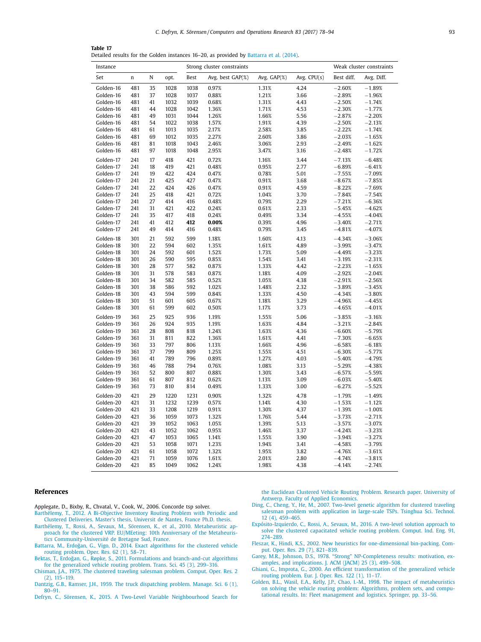<span id="page-16-0"></span>

| Instance  |     |    |      |      | Strong cluster constraints |             | Weak cluster constraints |            |            |
|-----------|-----|----|------|------|----------------------------|-------------|--------------------------|------------|------------|
| Set       | n   | N  | opt. | Best | Avg. best GAP(%)           | Avg. GAP(%) | Avg. CPU(s)              | Best diff. | Avg. Diff. |
| Golden-16 | 481 | 35 | 1028 | 1038 | 0.97%                      | 1.31%       | 4.24                     | $-2.60%$   | $-1.89%$   |
| Golden-16 | 481 | 37 | 1028 | 1037 | 0.88%                      | 1.21%       | 3.66                     | $-2.89%$   | $-1.96%$   |
| Golden-16 | 481 | 41 | 1032 | 1039 | 0.68%                      | 1.31%       | 4.43                     | $-2.50%$   | $-1.74%$   |
| Golden-16 | 481 | 44 | 1028 | 1042 | 1.36%                      | 1.71%       | 4.53                     | $-2.30%$   | $-1.77%$   |
| Golden-16 | 481 | 49 | 1031 | 1044 | 1.26%                      | 1.66%       | 5.56                     | $-2.87%$   | $-2.20%$   |
| Golden-16 | 481 | 54 | 1022 | 1038 | 1.57%                      | 1.91%       | 4.39                     | $-2.50%$   | $-2.13%$   |
| Golden-16 | 481 | 61 | 1013 | 1035 | 2.17%                      | 2.58%       | 3.85                     | $-2.22%$   | $-1.74%$   |
| Golden-16 | 481 | 69 | 1012 | 1035 | 2.27%                      | 2.60%       | 3.86                     | $-2.03%$   | $-1.65%$   |
| Golden-16 | 481 | 81 | 1018 | 1043 | 2.46%                      | 3.06%       | 2.93                     | $-2.49%$   | $-1.62%$   |
| Golden-16 | 481 | 97 | 1018 | 1048 | 2.95%                      | 3.47%       | 3.16                     | $-2.48%$   | $-1.72%$   |
| Golden-17 | 241 | 17 | 418  | 421  | 0.72%                      | 1.16%       | 3.44                     | $-7.13%$   | $-6.48%$   |
| Golden-17 | 241 | 18 | 419  | 421  | 0.48%                      | 0.95%       | 2.77                     | $-6.89%$   | $-6.41%$   |
| Golden-17 | 241 | 19 | 422  | 424  | 0.47%                      | 0.78%       | 5.01                     | $-7.55%$   | $-7.09%$   |
| Golden-17 | 241 | 21 | 425  | 427  | 0.47%                      | 0.91%       | 3.68                     | $-8.67%$   | $-7.85%$   |
| Golden-17 | 241 | 22 | 424  | 426  | 0.47%                      | 0.91%       | 4.59                     | $-8.22%$   | $-7.69%$   |
| Golden-17 | 241 | 25 | 418  | 421  | 0.72%                      | 1.04%       | 3.70                     | $-7.84%$   | $-7.54%$   |
| Golden-17 | 241 | 27 | 414  | 416  | 0.48%                      | 0.79%       | 2.29                     | $-7.21%$   | $-6.36%$   |
| Golden-17 | 241 | 31 | 421  | 422  | 0.24%                      | 0.61%       | 2.33                     | $-5.45%$   | $-4.62%$   |
| Golden-17 | 241 | 35 | 417  | 418  | 0.24%                      | 0.49%       | 3.34                     | $-4.55%$   | $-4.04%$   |
| Golden-17 | 241 | 41 | 412  | 412  | 0.00%                      | 0.39%       | 4.96                     | $-3.40%$   | $-2.71%$   |
| Golden-17 | 241 | 49 | 414  | 416  | 0.48%                      | 0.79%       | 3.45                     | $-4.81%$   | $-4.07%$   |
| Golden-18 | 301 | 21 | 592  | 599  | 1.18%                      | 1.60%       | 4.13                     | $-4.34%$   | $-3.06%$   |
| Golden-18 | 301 | 22 | 594  | 602  | 1.35%                      | 1.61%       | 4.89                     | $-3.99%$   | $-3.47%$   |
| Golden-18 | 301 | 24 | 592  | 601  | 1.52%                      | 1.73%       | 5.09                     | $-4.49%$   | $-3.23%$   |
| Golden-18 | 301 | 26 | 590  | 595  | 0.85%                      | 1.54%       | 3.41                     | $-3.19%$   | $-2.31%$   |
| Golden-18 | 301 | 28 | 577  | 582  | 0.87%                      | 1.33%       | 4.42                     | $-2.23%$   | $-1.65%$   |
| Golden-18 | 301 | 31 | 578  | 583  | 0.87%                      | 1.18%       | 4.09                     | $-2.92%$   | $-2.04%$   |
| Golden-18 | 301 | 34 | 582  | 585  | 0.52%                      | 1.05%       | 4.38                     | $-2.91%$   | $-2.56%$   |
| Golden-18 | 301 | 38 | 586  | 592  | 1.02%                      | 1.48%       | 2.32                     | $-3.89%$   | $-3.45%$   |
| Golden-18 | 301 | 43 | 594  | 599  | 0.84%                      | 1.33%       | 4.50                     | $-4.34%$   | $-3.80%$   |
| Golden-18 | 301 | 51 | 601  | 605  | 0.67%                      | 1.18%       | 3.29                     | $-4.96%$   | $-4.45%$   |
| Golden-18 | 301 | 61 | 599  | 602  | 0.50%                      | 1.17%       | 3.73                     | $-4.65%$   | $-4.01%$   |
| Golden-19 | 361 | 25 | 925  | 936  | 1.19%                      | 1.55%       | 5.06                     | $-3.85%$   | $-3.16%$   |
| Golden-19 | 361 | 26 | 924  | 935  | 1.19%                      | 1.63%       | 4.84                     | $-3.21%$   | $-2.84%$   |
| Golden-19 | 361 | 28 | 808  | 818  | 1.24%                      | 1.63%       | 4.36                     | $-6.60%$   | $-5.79%$   |
| Golden-19 | 361 | 31 | 811  | 822  | 1.36%                      | 1.61%       | 4.41                     | $-7.30%$   | $-6.65%$   |
| Golden-19 | 361 | 33 | 797  | 806  | 1.13%                      | 1.66%       | 4.96                     | $-6.58%$   | $-6.18%$   |
| Golden-19 | 361 | 37 | 799  | 809  | 1.25%                      | 1.55%       | 4.51                     | $-6.30%$   | $-5.77%$   |
| Golden-19 | 361 | 41 | 789  | 796  | 0.89%                      | 1.27%       | 4.03                     | $-5.40%$   | $-4.79%$   |
| Golden-19 | 361 | 46 | 788  | 794  | 0.76%                      | 1.08%       | 3.13                     | $-5.29%$   | $-4.38%$   |
| Golden-19 | 361 | 52 | 800  | 807  | 0.88%                      | 1.30%       | 3.43                     | $-6.57%$   | $-5.59%$   |
| Golden-19 | 361 | 61 | 807  | 812  | 0.62%                      | 1.13%       | 3.09                     | $-6.03%$   | $-5.40%$   |
| Golden-19 | 361 | 73 | 810  | 814  | 0.49%                      | 1.33%       | 3.00                     | $-6.27%$   | $-5.52%$   |
| Golden-20 | 421 | 29 | 1220 | 1231 | 0.90%                      | 1.32%       | 4.78                     | $-1.79%$   | $-1.49%$   |
| Golden-20 | 421 | 31 | 1232 | 1239 | 0.57%                      | 1.14%       | 4.30                     | $-1.53%$   | $-1.12%$   |
| Golden-20 | 421 | 33 | 1208 | 1219 | 0.91%                      | 1.30%       | 4.37                     | $-1.39%$   | $-1.00%$   |
| Golden-20 | 421 | 36 | 1059 | 1073 | 1.32%                      | 1.76%       | 5.44                     | $-3.73%$   | $-2.71%$   |
| Golden-20 | 421 | 39 | 1052 | 1063 | 1.05%                      | 1.39%       | 5.13                     | $-3.57%$   | $-3.07%$   |
| Golden-20 | 421 | 43 | 1052 | 1062 | 0.95%                      | 1.46%       | 3.37                     | $-4.24%$   | $-3.23%$   |
| Golden-20 | 421 | 47 | 1053 | 1065 | 1.14%                      | 1.55%       | 3.90                     | $-3.94%$   | $-3.27%$   |
| Golden-20 | 421 | 53 | 1058 | 1071 | 1.23%                      | 1.94%       | 3.41                     | $-4.58%$   | $-3.79%$   |
| Golden-20 | 421 | 61 | 1058 | 1072 | 1.32%                      | 1.95%       | 3.82                     | $-4.76%$   | $-3.61%$   |
| Golden-20 | 421 | 71 | 1059 | 1076 | 1.61%                      | 2.01%       | 2.80                     | $-4.74%$   | $-3.81%$   |
| Golden-20 | 421 | 85 | 1049 | 1062 | 1.24%                      | 1.98%       | 4.38                     | $-4.14%$   | $-2.74%$   |

#### **References**

- Applegate, D., Bixby, R., Chvatal, V., Cook, W., 2006. Concorde tsp solver.
- [Barthélemy,](http://refhub.elsevier.com/S0305-0548(17)30036-9/sbref0001) T., 2012. A [Bi-Objective](http://refhub.elsevier.com/S0305-0548(17)30036-9/sbref0001) Inventory Routing Problem with Periodic and Clustered Deliveries. Master's thesis, Universit de Nantes, France Ph.D. thesis.
- [Barthélemy,](http://refhub.elsevier.com/S0305-0548(17)30036-9/sbref0002) T., [Rossi,](http://refhub.elsevier.com/S0305-0548(17)30036-9/sbref0002) A., [Sevaux,](http://refhub.elsevier.com/S0305-0548(17)30036-9/sbref0002) M., [Sörensen,](http://refhub.elsevier.com/S0305-0548(17)30036-9/sbref0002) K., et [al.,](http://refhub.elsevier.com/S0305-0548(17)30036-9/sbref0002) 2010. Metaheuristic approach for the clustered VRP. EU/MEeting: 10th Anniversary of the Metaheuristics [Community-Université de](http://refhub.elsevier.com/S0305-0548(17)30036-9/sbref0002) Bretagne Sud, France.
- [Battarra,](http://refhub.elsevier.com/S0305-0548(17)30036-9/sbref0003) M., Erdoğan, G., [Vigo,](http://refhub.elsevier.com/S0305-0548(17)30036-9/sbref0003) D., 2014. Exact [algorithms](http://refhub.elsevier.com/S0305-0548(17)30036-9/sbref0003) for the clustered vehicle routing problem. Oper. Res. 62 (1), 58–71.
- [Bektas,](http://refhub.elsevier.com/S0305-0548(17)30036-9/sbref0004) T., Erdoğan, G., [Røpke,](http://refhub.elsevier.com/S0305-0548(17)30036-9/sbref0004) S., 2011. Formulations and [branch-and-cut](http://refhub.elsevier.com/S0305-0548(17)30036-9/sbref0004) algorithms for the generalized vehicle routing problem. Trans. Sci. 45 (3), 299–316.
- [Chisman,](http://refhub.elsevier.com/S0305-0548(17)30036-9/sbref0005) J.A., 1975. The clustered traveling [salesman](http://refhub.elsevier.com/S0305-0548(17)30036-9/sbref0005) problem. Comput. Oper. Res. 2 (2), 115–119.
- [Dantzig,](http://refhub.elsevier.com/S0305-0548(17)30036-9/sbref0006) G.B., [Ramser,](http://refhub.elsevier.com/S0305-0548(17)30036-9/sbref0006) J.H., 1959. The truck [dispatching](http://refhub.elsevier.com/S0305-0548(17)30036-9/sbref0006) problem. Manage. Sci. 6 (1), 80–91.

[Defryn,](http://refhub.elsevier.com/S0305-0548(17)30036-9/sbref0007) C., [Sörensen,](http://refhub.elsevier.com/S0305-0548(17)30036-9/sbref0007) K., 2015. A Two-Level Variable [Neighbourhood](http://refhub.elsevier.com/S0305-0548(17)30036-9/sbref0007) Search for

the Euclidean Clustered Vehicle Routing Problem. Research paper. University of Antwerp, Faculty of Applied [Economics.](http://refhub.elsevier.com/S0305-0548(17)30036-9/sbref0007)

- [Ding,](http://refhub.elsevier.com/S0305-0548(17)30036-9/sbref0008) C., [Cheng,](http://refhub.elsevier.com/S0305-0548(17)30036-9/sbref0008) Y., [He,](http://refhub.elsevier.com/S0305-0548(17)30036-9/sbref0008) M., 2007. Two-level genetic algorithm for clustered traveling salesman problem with [application](http://refhub.elsevier.com/S0305-0548(17)30036-9/sbref0008) in large-scale TSPs. Tsinghua Sci. Technol. 12 (4), 459–465.
- [Expósito-Izquierdo,](http://refhub.elsevier.com/S0305-0548(17)30036-9/sbref0009) C., [Rossi,](http://refhub.elsevier.com/S0305-0548(17)30036-9/sbref0009) A., [Sevaux,](http://refhub.elsevier.com/S0305-0548(17)30036-9/sbref0009) M., 2016. A two-level solution approach to solve the clustered capacitated vehicle routing problem. Comput. Ind. Eng. 91, 274–289.
- [Fleszar,](http://refhub.elsevier.com/S0305-0548(17)30036-9/sbref0010) K., [Hindi,](http://refhub.elsevier.com/S0305-0548(17)30036-9/sbref0010) K.S., 2002. New heuristics for [one-dimensional](http://refhub.elsevier.com/S0305-0548(17)30036-9/sbref0010) bin-packing. Comput. Oper. Res. 29 (7), 821–839.
- [Garey,](http://refhub.elsevier.com/S0305-0548(17)30036-9/sbref0011) M.R., [Johnson,](http://refhub.elsevier.com/S0305-0548(17)30036-9/sbref0011) D.S., 1978. ["Strong" NP-Completeness](http://refhub.elsevier.com/S0305-0548(17)30036-9/sbref0011) results: motivation, examples, and implications. J. ACM (JACM) 25 (3), 499–508.
- [Ghiani,](http://refhub.elsevier.com/S0305-0548(17)30036-9/sbref0012) G., [Improta,](http://refhub.elsevier.com/S0305-0548(17)30036-9/sbref0012) G., 2000. An efficient [transformation](http://refhub.elsevier.com/S0305-0548(17)30036-9/sbref0012) of the generalized vehicle routing problem. Eur. J. Oper. Res. 122 (1), 11–17.
- [Golden,](http://refhub.elsevier.com/S0305-0548(17)30036-9/sbref0013) B.L., [Wasil,](http://refhub.elsevier.com/S0305-0548(17)30036-9/sbref0013) E.A., [Kelly,](http://refhub.elsevier.com/S0305-0548(17)30036-9/sbref0013) J.P., [Chao,](http://refhub.elsevier.com/S0305-0548(17)30036-9/sbref0013) I.-M., 1998. The impact of [metaheuristics](http://refhub.elsevier.com/S0305-0548(17)30036-9/sbref0013) on solving the vehicle routing problem: Algorithms, problem sets, and computational results. In: Fleet management and logistics. Springer, pp. 33–56.